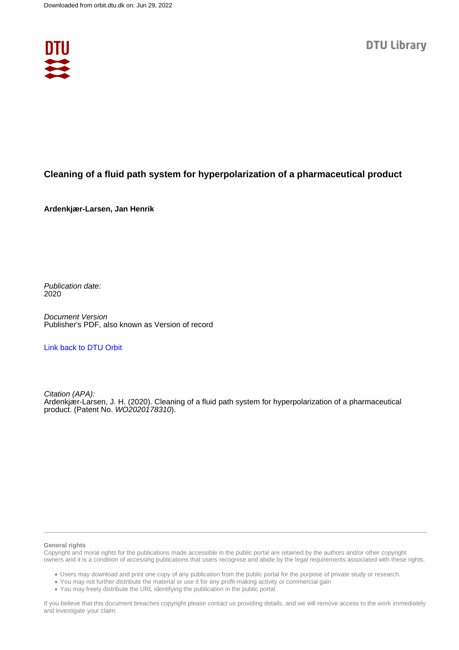

# **Cleaning of a fluid path system for hyperpolarization of a pharmaceutical product**

**Ardenkjær-Larsen, Jan Henrik**

Publication date: 2020

Document Version Publisher's PDF, also known as Version of record

[Link back to DTU Orbit](https://orbit.dtu.dk/en/publications/6ded6571-fd1c-47dd-aedf-70419b45071b)

Citation (APA): Ardenkjær-Larsen, J. H. (2020). Cleaning of a fluid path system for hyperpolarization of a pharmaceutical product. (Patent No. WO2020178310).

### **General rights**

Copyright and moral rights for the publications made accessible in the public portal are retained by the authors and/or other copyright owners and it is a condition of accessing publications that users recognise and abide by the legal requirements associated with these rights.

Users may download and print one copy of any publication from the public portal for the purpose of private study or research.

- You may not further distribute the material or use it for any profit-making activity or commercial gain
- You may freely distribute the URL identifying the publication in the public portal

If you believe that this document breaches copyright please contact us providing details, and we will remove access to the work immediately and investigate your claim.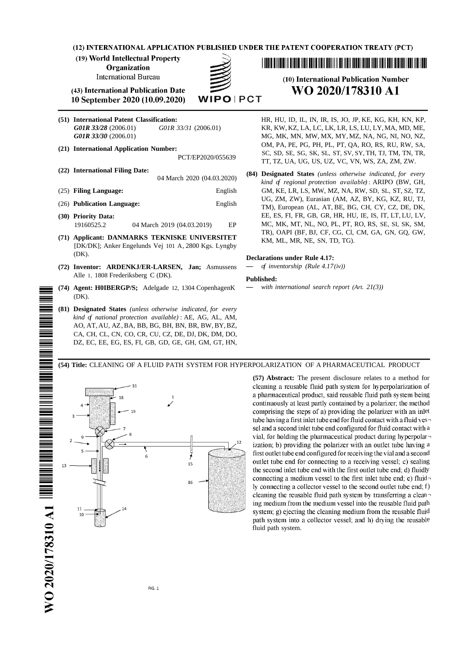(12) INTERNATIONAL APPLICATION PUBLISHED UNDER THE PATENT COOPERATION TREATY (PCT)

(19) World Intellectual Property

**Organization** 

**International Bureau** 



(43) International Publication Date 10 September 2020 (10.09.2020)

- 
- -
	-
- 
- 
- 
- **(71) Applicant: DANMARKS TEKNISKE UNIVERSITET** KM, ML, MR, NE, SN, TD, TG). [DK/DK]; Anker Engelunds Vej 101 A, 2800 Kgs. Lyngby (DK). **Declarations under Rule 4.17:**
- **(72) Inventor: ARDENKJ/ER-LARSEN, Jan;** Asmussens **—** *of inventorship (Rule 4.17(iv))* Alle 1, <sup>1808</sup> Frederiksberg <sup>C</sup> (DK). **Published:**
- **(74) Agent: H0IBERGP/S;** Adelgade 12, 1304 CopenhagenK **—** *with international search report (Art. 21(3))* (DK).
- **(81) Designated States** *(unless otherwise indicated, for every kind of national protection available)* : AE, AG, AL, AM, AO, AT, AU, AZ,BA, BB, BG, BH, BN, BR, BW, BY,BZ, CA, CH, CL, CN, CO, CR, CU, CZ, DE, DJ, DK, DM, DO, DZ, EC, EE, EG, ES, FI, GB, GD, GE, GH, GM, GT, HN,

# (10) International Publication Number WO 2020/178310 A1

**(51) International Patent Classification:** HR, HU, ID, IL, IN, IR, IS, JO, JP, KE, KG, KH, KN, KP, *G01R 33/28* (2006.01) *G01R 33/31* (2006.01) KR, KW, KZ, LA, LC, LK, LR, LS, LU, LY,MA, MD, ME, *G01R 33/30* (2006.01) MG, MK, MN, MW, MX, MY, MZ, NA, NG, NI, NO, NZ, (21) International Application Number:<br>
PCT/EP2020/055639<br>
PCT/EP2020/055639<br>
PCT/EP2020/055639<br>
PCT/EP2020/055639<br>
TT, TZ, UA, UG, US, UZ, VC, VN, WS, ZA, ZM, ZW.

(22) International Filing Date:  $04 \text{ March } 2020 (04.03.2020)$  (84) Designated States (unless otherwise indicated, for every kind of regional protection available): ARIPO (BW, GH, (25) **Filing Language:** English GM, KE, LR, LS, MW, MZ, NA, RW, SD, SL, ST, SZ, TZ, UG, ZM, ZW), Eurasian (AM, AZ, BY, KG, KZ, RU, TJ, (26) **Publication Language:** English TM), European (AL, AT, BE, BG, CH, CY, CZ, DE, DK, **(30) Priority Data:** EE, ES, FI, FR, GB, GR, HR, HU, IE, IS, IT, LT, LU, LV, 19160525.2 04 March 2019 (04.03.2019) EP MC, MK, MT, NL, NO, PL, PT, RO, RS, SE, SI, SK, SM, TR), OAPI (BF, BJ, CF, CG, Cl, CM, GA, GN, GQ, GW,



**(57) Abstract:** The present disclosure relates to a method for cleaning a reusable fluid path system for hyperpolarization of a pharmaceutical product, said reusable fluid path system being continuously at least partly contained by a polarizer; the method comprising the steps of a) providing the polarizer with an inlet tube having a first inlet tube end for fluid contact with a fluid vessel and a second inlet tube end configured for fluid contact with a vial, for holding the pharmaceutical product during hyperpolar $\neg$ ization; b) providing the polarizer with an outlet tube having a first outlet tube end configured for receiving the vial and a second outlet tube end for connecting to a receiving vessel; c) sealing the second inlet tube end with the first outlet tube end; d) fluidly connecting a medium vessel to the first inlet tube end; e) fluid $\neg$ ly connecting a collector vessel to the second outlet tube end; f) cleaning the reusable fluid path system by transferring a clean $\neg$ ing medium from the medium vessel into the reusable fluid path system; g) ejecting the cleaning medium from the reusable fluid path system into a collector vessel; and h) drying the reusable fluid path system.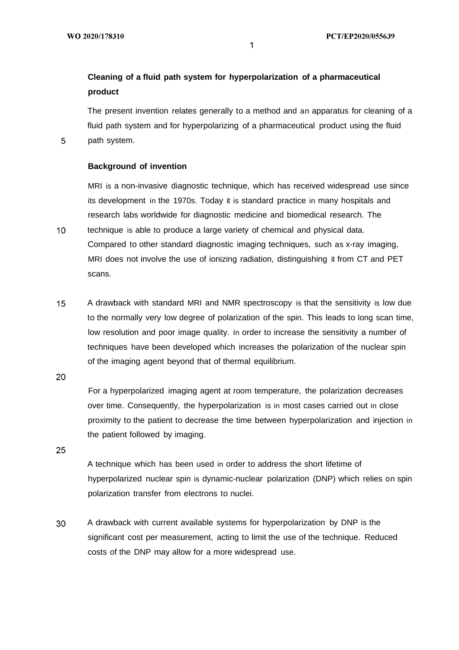# **Cleaning of a fluid path system for hyperpolarization of a pharmaceutical product**

The present invention relates generally to a method and an apparatus for cleaning of a fluid path system and for hyperpolarizing of a pharmaceutical product using the fluid path system.

## **Background of invention**

MRI is a non-invasive diagnostic technique, which has received widespread use since its development in the 1970s. Today it is standard practice in many hospitals and research labs worldwide for diagnostic medicine and biomedical research. The

 $10<sup>°</sup>$ technique is able to produce a large variety of chemical and physical data. Compared to other standard diagnostic imaging techniques, such as x-ray imaging, MRI does not involve the use of ionizing radiation, distinguishing it from CT and PET scans.

 $15<sub>1</sub>$ A drawback with standard MRI and NMR spectroscopy is that the sensitivity is low due to the normally very low degree of polarization of the spin. This leads to long scan time, low resolution and poor image quality. In order to increase the sensitivity a number of techniques have been developed which increases the polarization of the nuclear spin of the imaging agent beyond that of thermal equilibrium.

20

5

For a hyperpolarized imaging agent at room temperature, the polarization decreases over time. Consequently, the hyperpolarization is in most cases carried out in close proximity to the patient to decrease the time between hyperpolarization and injection in the patient followed by imaging.

25

A technique which has been used in order to address the short lifetime of hyperpolarized nuclear spin is dynamic-nuclear polarization (DNP) which relies on spin polarization transfer from electrons to nuclei.

30 A drawback with current available systems for hyperpolarization by DNP is the significant cost per measurement, acting to limit the use of the technique. Reduced costs of the DNP may allow for a more widespread use.

 $\mathbf 1$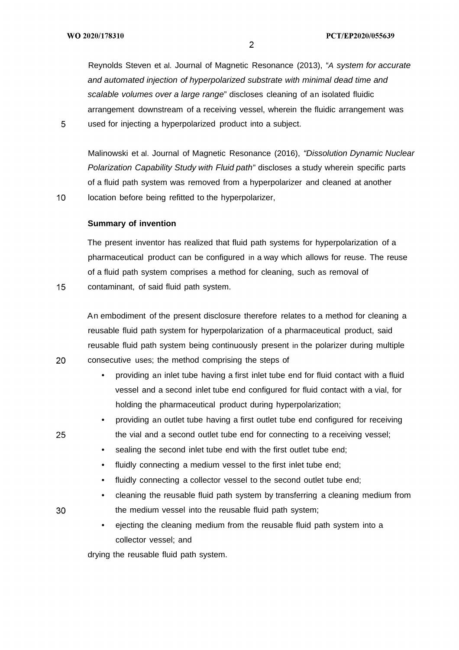Reynolds Steven et al. Journal of Magnetic Resonance (2013), "A system for accurate and automated injection of hyperpolarized substrate with minimal dead time and scalable volumes over a large range" discloses cleaning of an isolated fluidic arrangement downstream of a receiving vessel, wherein the fluidic arrangement was used for injecting a hyperpolarized product into a subject.

Malinowski et al. Journal of Magnetic Resonance (2016), "Dissolution Dynamic Nuclear Polarization Capability Study with Fluid path" discloses a study wherein specific parts of a fluid path system was removed from a hyperpolarizer and cleaned at another location before being refitted to the hyperpolarizer,

 $10<sup>°</sup>$ 

 $15<sub>1</sub>$ 

20

5

## **Summary of invention**

The present inventor has realized that fluid path systems for hyperpolarization of a pharmaceutical product can be configured in a way which allows for reuse. The reuse of a fluid path system comprises a method for cleaning, such as removal of contaminant, of said fluid path system.

An embodiment of the present disclosure therefore relates to a method for cleaning a reusable fluid path system for hyperpolarization of a pharmaceutical product, said reusable fluid path system being continuously present in the polarizer during multiple consecutive uses; the method comprising the steps of

- providing an inlet tube having a first inlet tube end for fluid contact with a fluid vessel and a second inlet tube end configured for fluid contact with a vial, for holding the pharmaceutical product during hyperpolarization;
- providing an outlet tube having a first outlet tube end configured for receiving the vial and a second outlet tube end for connecting to a receiving vessel;
- sealing the second inlet tube end with the first outlet tube end;
- fluidly connecting a medium vessel to the first inlet tube end;
- fluidly connecting a collector vessel to the second outlet tube end;
- cleaning the reusable fluid path system by transferring a cleaning medium from the medium vessel into the reusable fluid path system;
- ejecting the cleaning medium from the reusable fluid path system into a collector vessel; and

drying the reusable fluid path system.

25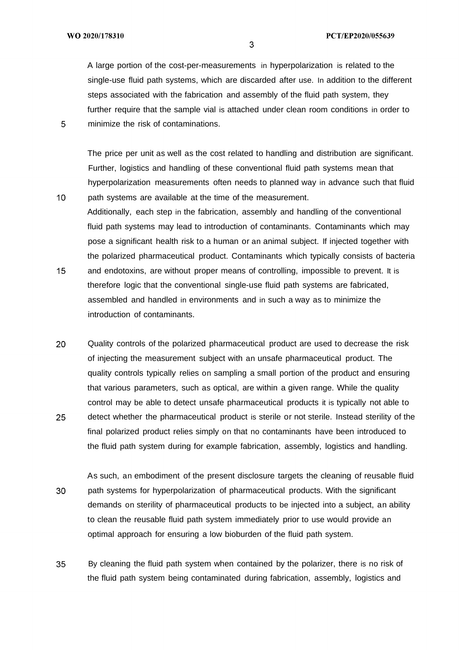$10<sup>°</sup>$ 

A large portion of the cost-per-measurements in hyperpolarization is related to the single-use fluid path systems, which are discarded after use. In addition to the different steps associated with the fabrication and assembly of the fluid path system, they further require that the sample vial is attached under clean room conditions in order to minimize the risk of contaminations.

The price per unit as well as the cost related to handling and distribution are significant. Further, logistics and handling of these conventional fluid path systems mean that hyperpolarization measurements often needs to planned way in advance such that fluid path systems are available at the time of the measurement.

- Additionally, each step in the fabrication, assembly and handling of the conventional fluid path systems may lead to introduction of contaminants. Contaminants which may pose a significant health risk to a human or an animal subject. If injected together with the polarized pharmaceutical product. Contaminants which typically consists of bacteria  $15<sup>1</sup>$ and endotoxins, are without proper means of controlling, impossible to prevent. It is therefore logic that the conventional single-use fluid path systems are fabricated,
	- assembled and handled in environments and in such a way as to minimize the introduction of contaminants.
- 20 Quality controls of the polarized pharmaceutical product are used to decrease the risk of injecting the measurement subject with an unsafe pharmaceutical product. The quality controls typically relies on sampling a small portion of the product and ensuring that various parameters, such as optical, are within a given range. While the quality control may be able to detect unsafe pharmaceutical products it is typically not able to 25 detect whether the pharmaceutical product is sterile or not sterile. Instead sterility of the final polarized product relies simply on that no contaminants have been introduced to the fluid path system during for example fabrication, assembly, logistics and handling.
- As such, an embodiment of the present disclosure targets the cleaning of reusable fluid 30 path systems for hyperpolarization of pharmaceutical products. With the significant demands on sterility of pharmaceutical products to be injected into a subject, an ability to clean the reusable fluid path system immediately prior to use would provide an optimal approach for ensuring a low bioburden of the fluid path system.
- 35 By cleaning the fluid path system when contained by the polarizer, there is no risk of the fluid path system being contaminated during fabrication, assembly, logistics and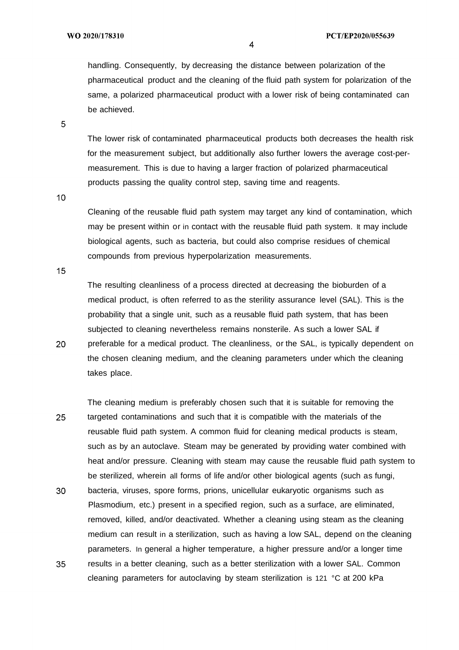handling. Consequently, by decreasing the distance between polarization of the pharmaceutical product and the cleaning of the fluid path system for polarization of the same, a polarized pharmaceutical product with a lower risk of being contaminated can be achieved.

5

The lower risk of contaminated pharmaceutical products both decreases the health risk for the measurement subject, but additionally also further lowers the average cost-permeasurement. This is due to having a larger fraction of polarized pharmaceutical products passing the quality control step, saving time and reagents.

 $10<sup>°</sup>$ 

Cleaning of the reusable fluid path system may target any kind of contamination, which may be present within or in contact with the reusable fluid path system. It may include biological agents, such as bacteria, but could also comprise residues of chemical compounds from previous hyperpolarization measurements.

 $15<sub>1</sub>$ 

20

The resulting cleanliness of a process directed at decreasing the bioburden of a medical product, is often referred to as the sterility assurance level (SAL). This is the probability that a single unit, such as a reusable fluid path system, that has been subjected to cleaning nevertheless remains nonsterile. As such a lower SAL if preferable for a medical product. The cleanliness, or the SAL, is typically dependent on the chosen cleaning medium, and the cleaning parameters under which the cleaning takes place.

The cleaning medium is preferably chosen such that it is suitable for removing the 25 targeted contaminations and such that it is compatible with the materials of the reusable fluid path system. A common fluid for cleaning medical products is steam, such as by an autoclave. Steam may be generated by providing water combined with heat and/or pressure. Cleaning with steam may cause the reusable fluid path system to be sterilized, wherein all forms of life and/or other biological agents (such as fungi, 30 bacteria, viruses, spore forms, prions, unicellular eukaryotic organisms such as Plasmodium, etc.) present in a specified region, such as a surface, are eliminated, removed, killed, and/or deactivated. Whether a cleaning using steam as the cleaning medium can result in a sterilization, such as having a low SAL, depend on the cleaning parameters. In general a higher temperature, a higher pressure and/or a longer time 35 results in a better cleaning, such as a better sterilization with a lower SAL. Common cleaning parameters for autoclaving by steam sterilization is 121 °C at 200 kPa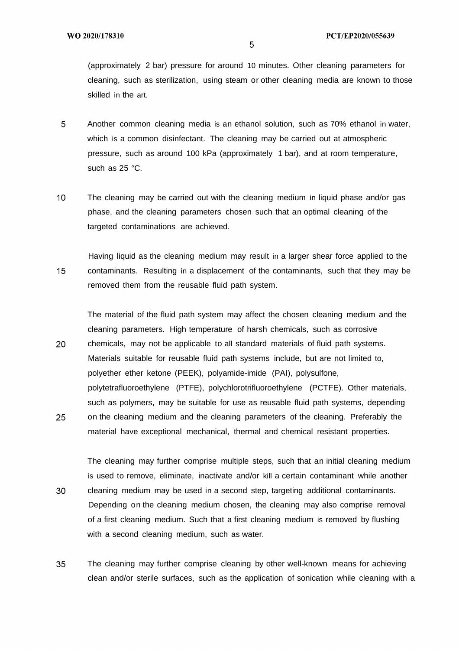(approximately 2 bar) pressure for around 10 minutes. Other cleaning parameters for cleaning, such as sterilization, using steam or other cleaning media are known to those skilled in the art.

- 5 Another common cleaning media is an ethanol solution, such as 70% ethanol in water, which is a common disinfectant. The cleaning may be carried out at atmospheric pressure, such as around 100 kPa (approximately 1 bar), and at room temperature, such as 25 °C.
- $10<sup>°</sup>$ The cleaning may be carried out with the cleaning medium in liquid phase and/or gas phase, and the cleaning parameters chosen such that an optimal cleaning of the targeted contaminations are achieved.
- Having liquid as the cleaning medium may result in a larger shear force applied to the  $15<sub>1</sub>$ contaminants. Resulting in a displacement of the contaminants, such that they may be removed them from the reusable fluid path system.

The material of the fluid path system may affect the chosen cleaning medium and the cleaning parameters. High temperature of harsh chemicals, such as corrosive 20 chemicals, may not be applicable to all standard materials of fluid path systems. Materials suitable for reusable fluid path systems include, but are not limited to, polyether ether ketone (PEEK), polyamide-imide (PAI), polysulfone, polytetrafluoroethylene (PTFE), polychlorotrifluoroethylene (PCTFE). Other materials, such as polymers, may be suitable for use as reusable fluid path systems, depending 25 on the cleaning medium and the cleaning parameters of the cleaning. Preferably the

The cleaning may further comprise multiple steps, such that an initial cleaning medium is used to remove, eliminate, inactivate and/or kill a certain contaminant while another 30 cleaning medium may be used in a second step, targeting additional contaminants. Depending on the cleaning medium chosen, the cleaning may also comprise removal of a first cleaning medium. Such that a first cleaning medium is removed by flushing with a second cleaning medium, such as water.

material have exceptional mechanical, thermal and chemical resistant properties.

35 The cleaning may further comprise cleaning by other well-known means for achieving clean and/or sterile surfaces, such as the application of sonication while cleaning with a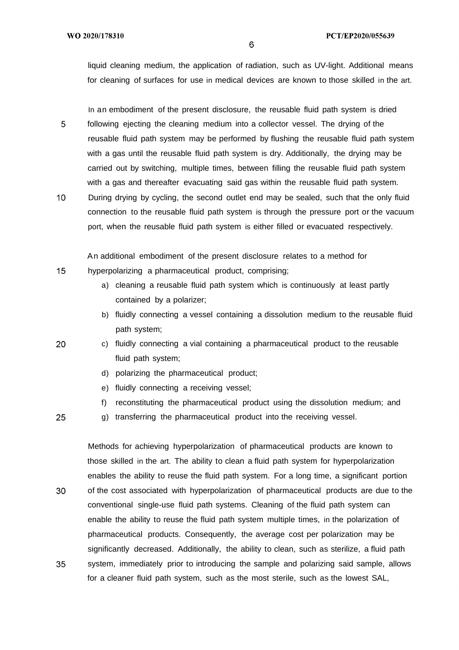$15<sub>1</sub>$ 

20

25

liquid cleaning medium, the application of radiation, such as UV-light. Additional means for cleaning of surfaces for use in medical devices are known to those skilled in the art.

In an embodiment of the present disclosure, the reusable fluid path system is dried following ejecting the cleaning medium into a collector vessel. The drying of the reusable fluid path system may be performed by flushing the reusable fluid path system with a gas until the reusable fluid path system is dry. Additionally, the drying may be carried out by switching, multiple times, between filling the reusable fluid path system with a gas and thereafter evacuating said gas within the reusable fluid path system.

 $10<sup>°</sup>$ During drying by cycling, the second outlet end may be sealed, such that the only fluid connection to the reusable fluid path system is through the pressure port or the vacuum port, when the reusable fluid path system is either filled or evacuated respectively.

An additional embodiment of the present disclosure relates to a method for hyperpolarizing a pharmaceutical product, comprising;

- a) cleaning a reusable fluid path system which is continuously at least partly contained by a polarizer;
- b) fluidly connecting a vessel containing a dissolution medium to the reusable fluid path system;
- c) fluidly connecting a vial containing a pharmaceutical product to the reusable fluid path system;
	- d) polarizing the pharmaceutical product;
	- e) fluidly connecting a receiving vessel;
	- f) reconstituting the pharmaceutical product using the dissolution medium; and
- g) transferring the pharmaceutical product into the receiving vessel.

Methods for achieving hyperpolarization of pharmaceutical products are known to those skilled in the art. The ability to clean a fluid path system for hyperpolarization enables the ability to reuse the fluid path system. For a long time, a significant portion 30 of the cost associated with hyperpolarization of pharmaceutical products are due to the conventional single-use fluid path systems. Cleaning of the fluid path system can enable the ability to reuse the fluid path system multiple times, in the polarization of pharmaceutical products. Consequently, the average cost per polarization may be significantly decreased. Additionally, the ability to clean, such as sterilize, a fluid path 35 system, immediately prior to introducing the sample and polarizing said sample, allows for a cleaner fluid path system, such as the most sterile, such as the lowest SAL,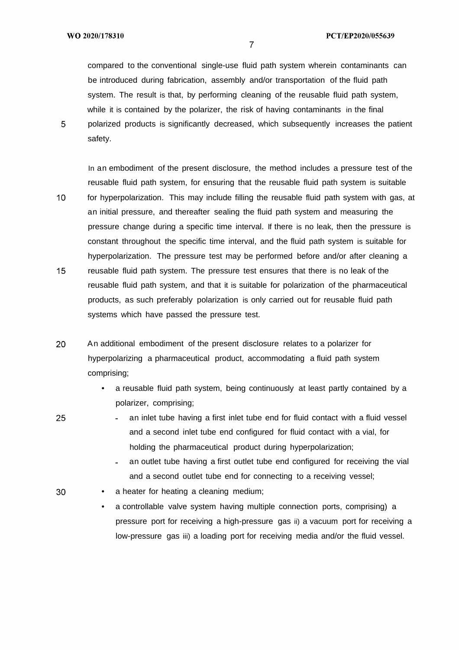25

30

compared to the conventional single-use fluid path system wherein contaminants can be introduced during fabrication, assembly and/or transportation of the fluid path system. The result is that, by performing cleaning of the reusable fluid path system, while it is contained by the polarizer, the risk of having contaminants in the final polarized products is significantly decreased, which subsequently increases the patient safety.

In an embodiment of the present disclosure, the method includes a pressure test of the reusable fluid path system, for ensuring that the reusable fluid path system is suitable  $10<sup>1</sup>$ for hyperpolarization. This may include filling the reusable fluid path system with gas, at an initial pressure, and thereafter sealing the fluid path system and measuring the pressure change during a specific time interval. If there is no leak, then the pressure is constant throughout the specific time interval, and the fluid path system is suitable for hyperpolarization. The pressure test may be performed before and/or after cleaning a  $15<sup>1</sup>$ reusable fluid path system. The pressure test ensures that there is no leak of the reusable fluid path system, and that it is suitable for polarization of the pharmaceutical products, as such preferably polarization is only carried out for reusable fluid path systems which have passed the pressure test.

- 20 An additional embodiment of the present disclosure relates to a polarizer for hyperpolarizing a pharmaceutical product, accommodating a fluid path system comprising;
	- a reusable fluid path system, being continuously at least partly contained by a polarizer, comprising;
	- an inlet tube having a first inlet tube end for fluid contact with a fluid vessel and a second inlet tube end configured for fluid contact with a vial, for holding the pharmaceutical product during hyperpolarization;
		- an outlet tube having a first outlet tube end configured for receiving the vial and a second outlet tube end for connecting to a receiving vessel;
	- a heater for heating a cleaning medium;
		- a controllable valve system having multiple connection ports, comprising) a pressure port for receiving a high-pressure gas ii) a vacuum port for receiving a low-pressure gas iii) a loading port for receiving media and/or the fluid vessel.

 $\overline{7}$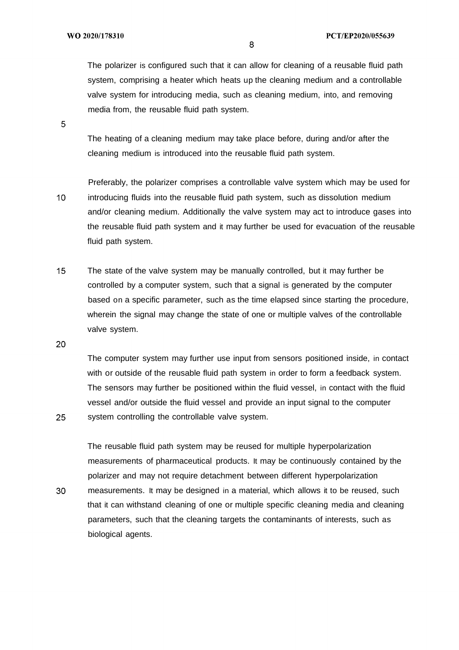The polarizer is configured such that it can allow for cleaning of a reusable fluid path system, comprising a heater which heats up the cleaning medium and a controllable valve system for introducing media, such as cleaning medium, into, and removing media from, the reusable fluid path system.

5

The heating of a cleaning medium may take place before, during and/or after the cleaning medium is introduced into the reusable fluid path system.

- Preferably, the polarizer comprises a controllable valve system which may be used for  $10<sup>°</sup>$ introducing fluids into the reusable fluid path system, such as dissolution medium and/or cleaning medium. Additionally the valve system may act to introduce gases into the reusable fluid path system and it may further be used for evacuation of the reusable fluid path system.
- $15<sup>1</sup>$ The state of the valve system may be manually controlled, but it may further be controlled by a computer system, such that a signal is generated by the computer based on a specific parameter, such as the time elapsed since starting the procedure, wherein the signal may change the state of one or multiple valves of the controllable valve system.

20

25

The computer system may further use input from sensors positioned inside, in contact with or outside of the reusable fluid path system in order to form a feedback system. The sensors may further be positioned within the fluid vessel, in contact with the fluid vessel and/or outside the fluid vessel and provide an input signal to the computer system controlling the controllable valve system.

The reusable fluid path system may be reused for multiple hyperpolarization measurements of pharmaceutical products. It may be continuously contained by the polarizer and may not require detachment between different hyperpolarization 30 measurements. It may be designed in a material, which allows it to be reused, such that it can withstand cleaning of one or multiple specific cleaning media and cleaning parameters, such that the cleaning targets the contaminants of interests, such as biological agents.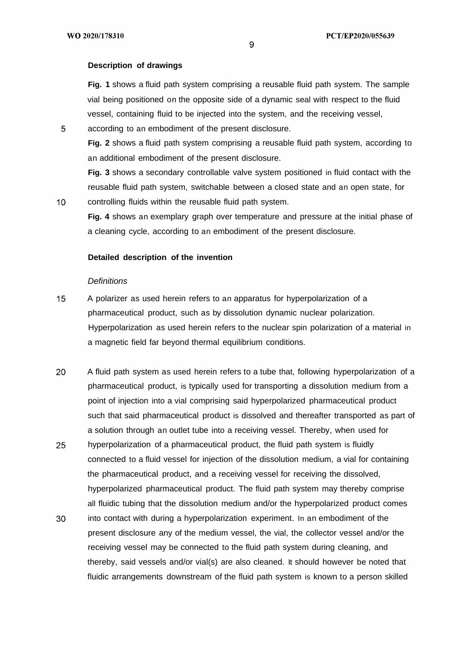### **Description of drawings**

**Fig. 1** shows a fluid path system comprising a reusable fluid path system. The sample vial being positioned on the opposite side of a dynamic seal with respect to the fluid vessel, containing fluid to be injected into the system, and the receiving vessel,

5

**Fig. 2** shows a fluid path system comprising a reusable fluid path system, according to an additional embodiment of the present disclosure.

**Fig. 3** shows a secondary controllable valve system positioned in fluid contact with the reusable fluid path system, switchable between a closed state and an open state, for controlling fluids within the reusable fluid path system.

 $10<sup>1</sup>$ 

**Fig. 4** shows an exemplary graph over temperature and pressure at the initial phase of a cleaning cycle, according to an embodiment of the present disclosure.

## **Detailed description of the invention**

according to an embodiment of the present disclosure.

### **Definitions**

- $15<sub>1</sub>$ A polarizer as used herein refers to an apparatus for hyperpolarization of a pharmaceutical product, such as by dissolution dynamic nuclear polarization. Hyperpolarization as used herein refers to the nuclear spin polarization of a material in a magnetic field far beyond thermal equilibrium conditions.
- 20 A fluid path system as used herein refers to a tube that, following hyperpolarization of a pharmaceutical product, is typically used for transporting a dissolution medium from a point of injection into a vial comprising said hyperpolarized pharmaceutical product such that said pharmaceutical product is dissolved and thereafter transported as part of a solution through an outlet tube into a receiving vessel. Thereby, when used for
- 25 hyperpolarization of a pharmaceutical product, the fluid path system is fluidly connected to a fluid vessel for injection of the dissolution medium, a vial for containing the pharmaceutical product, and a receiving vessel for receiving the dissolved, hyperpolarized pharmaceutical product. The fluid path system may thereby comprise all fluidic tubing that the dissolution medium and/or the hyperpolarized product comes
- 30 into contact with during a hyperpolarization experiment. In an embodiment of the present disclosure any of the medium vessel, the vial, the collector vessel and/or the receiving vessel may be connected to the fluid path system during cleaning, and thereby, said vessels and/or vial(s) are also cleaned. It should however be noted that fluidic arrangements downstream of the fluid path system is known to a person skilled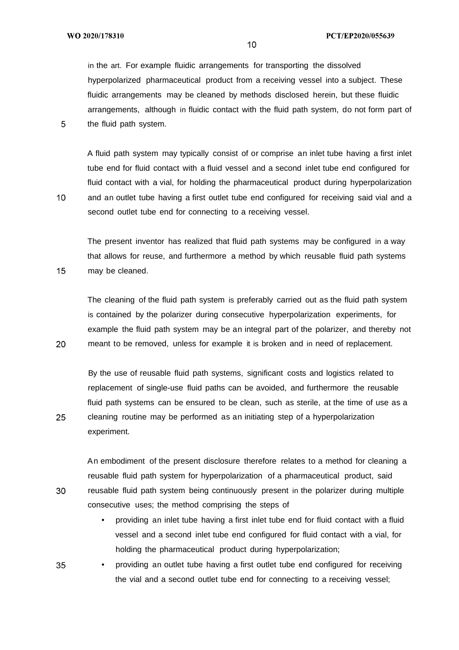$10<sup>°</sup>$ 

 $15<sub>1</sub>$ 

20

25

30

in the art. For example fluidic arrangements for transporting the dissolved hyperpolarized pharmaceutical product from a receiving vessel into a subject. These

fluidic arrangements may be cleaned by methods disclosed herein, but these fluidic arrangements, although in fluidic contact with the fluid path system, do not form part of the fluid path system.

A fluid path system may typically consist of or comprise an inlet tube having a first inlet tube end for fluid contact with a fluid vessel and a second inlet tube end configured for fluid contact with a vial, for holding the pharmaceutical product during hyperpolarization and an outlet tube having a first outlet tube end configured for receiving said vial and a second outlet tube end for connecting to a receiving vessel.

The present inventor has realized that fluid path systems may be configured in a way that allows for reuse, and furthermore a method by which reusable fluid path systems may be cleaned.

The cleaning of the fluid path system is preferably carried out as the fluid path system is contained by the polarizer during consecutive hyperpolarization experiments, for example the fluid path system may be an integral part of the polarizer, and thereby not meant to be removed, unless for example it is broken and in need of replacement.

By the use of reusable fluid path systems, significant costs and logistics related to replacement of single-use fluid paths can be avoided, and furthermore the reusable fluid path systems can be ensured to be clean, such as sterile, at the time of use as a cleaning routine may be performed as an initiating step of a hyperpolarization experiment.

An embodiment of the present disclosure therefore relates to a method for cleaning a reusable fluid path system for hyperpolarization of a pharmaceutical product, said reusable fluid path system being continuously present in the polarizer during multiple consecutive uses; the method comprising the steps of

- providing an inlet tube having a first inlet tube end for fluid contact with a fluid vessel and a second inlet tube end configured for fluid contact with a vial, for holding the pharmaceutical product during hyperpolarization;
- providing an outlet tube having a first outlet tube end configured for receiving 35 the vial and a second outlet tube end for connecting to a receiving vessel;

 $10<sup>°</sup>$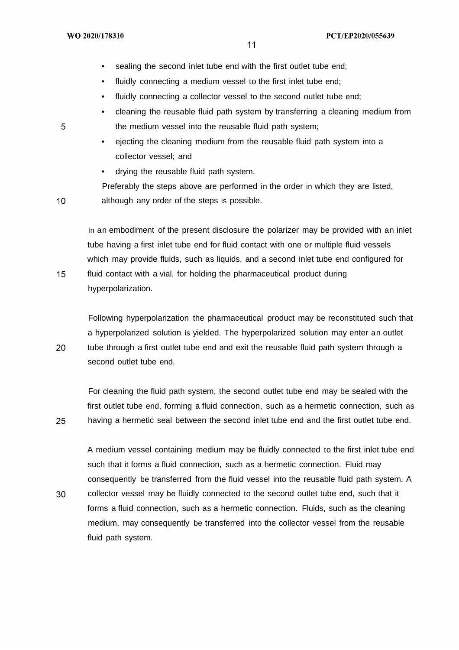- sealing the second inlet tube end with the first outlet tube end;
- fluidly connecting a medium vessel to the first inlet tube end:
- fluidly connecting a collector vessel to the second outlet tube end;
- cleaning the reusable fluid path system by transferring a cleaning medium from the medium vessel into the reusable fluid path system;
- ejecting the cleaning medium from the reusable fluid path system into a collector vessel; and
- drying the reusable fluid path system.

Preferably the steps above are performed in the order in which they are listed, although any order of the steps is possible.

In an embodiment of the present disclosure the polarizer may be provided with an inlet tube having a first inlet tube end for fluid contact with one or multiple fluid vessels which may provide fluids, such as liquids, and a second inlet tube end configured for fluid contact with a vial, for holding the pharmaceutical product during hyperpolarization.

Following hyperpolarization the pharmaceutical product may be reconstituted such that a hyperpolarized solution is yielded. The hyperpolarized solution may enter an outlet tube through a first outlet tube end and exit the reusable fluid path system through a second outlet tube end.

For cleaning the fluid path system, the second outlet tube end may be sealed with the first outlet tube end, forming a fluid connection, such as a hermetic connection, such as having a hermetic seal between the second inlet tube end and the first outlet tube end.

A medium vessel containing medium may be fluidly connected to the first inlet tube end such that it forms a fluid connection, such as a hermetic connection. Fluid may consequently be transferred from the fluid vessel into the reusable fluid path system. A collector vessel may be fluidly connected to the second outlet tube end, such that it forms a fluid connection, such as a hermetic connection. Fluids, such as the cleaning medium, may consequently be transferred into the collector vessel from the reusable fluid path system.

5

 $10<sup>°</sup>$ 

 $15$ 

20

25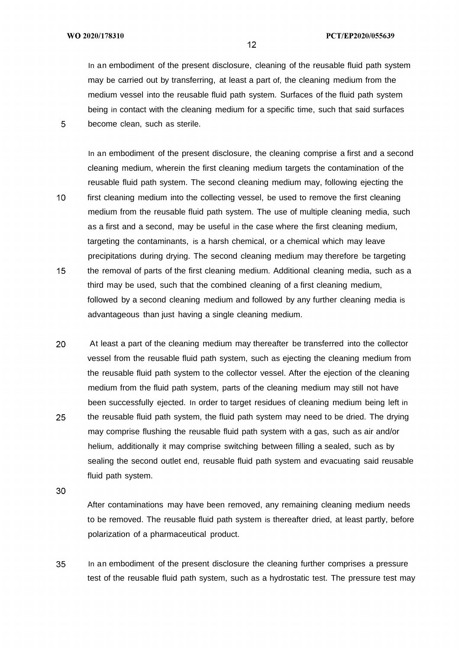$10<sup>°</sup>$ 

In an embodiment of the present disclosure, cleaning of the reusable fluid path system may be carried out by transferring, at least a part of, the cleaning medium from the medium vessel into the reusable fluid path system. Surfaces of the fluid path system being in contact with the cleaning medium for a specific time, such that said surfaces become clean, such as sterile.

In an embodiment of the present disclosure, the cleaning comprise a first and a second cleaning medium, wherein the first cleaning medium targets the contamination of the reusable fluid path system. The second cleaning medium may, following ejecting the first cleaning medium into the collecting vessel, be used to remove the first cleaning medium from the reusable fluid path system. The use of multiple cleaning media, such as a first and a second, may be useful in the case where the first cleaning medium, targeting the contaminants, is a harsh chemical, or a chemical which may leave precipitations during drying. The second cleaning medium may therefore be targeting

- $15<sub>1</sub>$ the removal of parts of the first cleaning medium. Additional cleaning media, such as a third may be used, such that the combined cleaning of a first cleaning medium, followed by a second cleaning medium and followed by any further cleaning media is advantageous than just having a single cleaning medium.
- 20 At least a part of the cleaning medium may thereafter be transferred into the collector vessel from the reusable fluid path system, such as ejecting the cleaning medium from the reusable fluid path system to the collector vessel. After the ejection of the cleaning medium from the fluid path system, parts of the cleaning medium may still not have been successfully ejected. In order to target residues of cleaning medium being left in 25 the reusable fluid path system, the fluid path system may need to be dried. The drying may comprise flushing the reusable fluid path system with a gas, such as air and/or helium, additionally it may comprise switching between filling a sealed, such as by sealing the second outlet end, reusable fluid path system and evacuating said reusable fluid path system.

30

After contaminations may have been removed, any remaining cleaning medium needs to be removed. The reusable fluid path system is thereafter dried, at least partly, before polarization of a pharmaceutical product.

35 In an embodiment of the present disclosure the cleaning further comprises a pressure test of the reusable fluid path system, such as a hydrostatic test. The pressure test may

 $12<sup>°</sup>$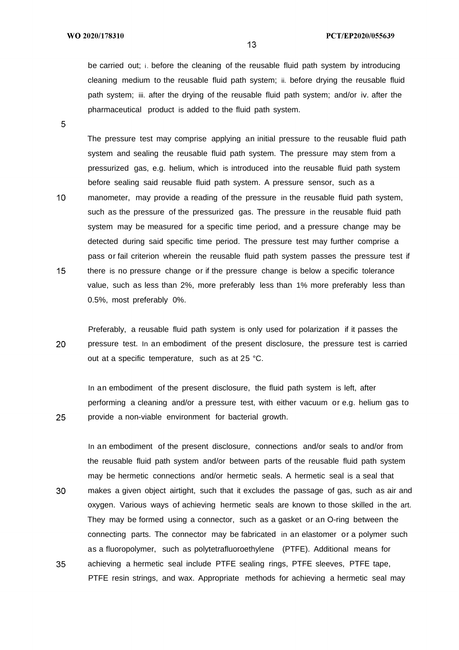be carried out; i. before the cleaning of the reusable fluid path system by introducing cleaning medium to the reusable fluid path system; ii. before drying the reusable fluid path system; iii. after the drying of the reusable fluid path system; and/or iv. after the pharmaceutical product is added to the fluid path system.

5

25

The pressure test may comprise applying an initial pressure to the reusable fluid path system and sealing the reusable fluid path system. The pressure may stem from a pressurized gas, e.g. helium, which is introduced into the reusable fluid path system before sealing said reusable fluid path system. A pressure sensor, such as a

 $10<sup>°</sup>$ manometer, may provide a reading of the pressure in the reusable fluid path system, such as the pressure of the pressurized gas. The pressure in the reusable fluid path system may be measured for a specific time period, and a pressure change may be detected during said specific time period. The pressure test may further comprise a pass or fail criterion wherein the reusable fluid path system passes the pressure test if  $15<sub>1</sub>$ there is no pressure change or if the pressure change is below a specific tolerance value, such as less than 2%, more preferably less than 1% more preferably less than 0.5%, most preferably 0%.

Preferably, a reusable fluid path system is only used for polarization if it passes the 20 pressure test. In an embodiment of the present disclosure, the pressure test is carried out at a specific temperature, such as at 25 °C.

In an embodiment of the present disclosure, the fluid path system is left, after performing a cleaning and/or a pressure test, with either vacuum or e.g. helium gas to provide a non-viable environment for bacterial growth.

In an embodiment of the present disclosure, connections and/or seals to and/or from the reusable fluid path system and/or between parts of the reusable fluid path system may be hermetic connections and/or hermetic seals. A hermetic seal is a seal that 30 makes a given object airtight, such that it excludes the passage of gas, such as air and oxygen. Various ways of achieving hermetic seals are known to those skilled in the art. They may be formed using a connector, such as a gasket or an O-ring between the connecting parts. The connector may be fabricated in an elastomer or a polymer such as a fluoropolymer, such as polytetrafluoroethylene (PTFE). Additional means for 35 achieving a hermetic seal include PTFE sealing rings, PTFE sleeves, PTFE tape, PTFE resin strings, and wax. Appropriate methods for achieving a hermetic seal may

 $13<sup>°</sup>$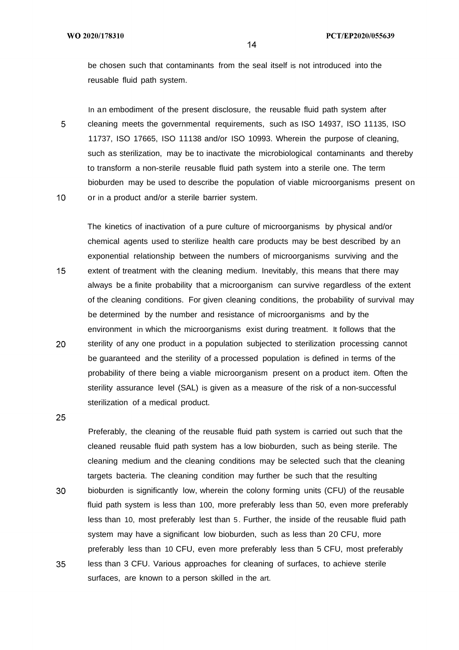be chosen such that contaminants from the seal itself is not introduced into the reusable fluid path system.

In an embodiment of the present disclosure, the reusable fluid path system after 5 cleaning meets the governmental requirements, such as ISO 14937, ISO 11135, ISO 11737, ISO 17665, ISO 11138 and/or ISO 10993. Wherein the purpose of cleaning, such as sterilization, may be to inactivate the microbiological contaminants and thereby to transform a non-sterile reusable fluid path system into a sterile one. The term bioburden may be used to describe the population of viable microorganisms present on  $10<sup>°</sup>$ or in a product and/or a sterile barrier system.

The kinetics of inactivation of a pure culture of microorganisms by physical and/or chemical agents used to sterilize health care products may be best described by an exponential relationship between the numbers of microorganisms surviving and the  $15<sub>1</sub>$ extent of treatment with the cleaning medium. Inevitably, this means that there may always be a finite probability that a microorganism can survive regardless of the extent of the cleaning conditions. For given cleaning conditions, the probability of survival may be determined by the number and resistance of microorganisms and by the environment in which the microorganisms exist during treatment. It follows that the 20 sterility of any one product in a population subjected to sterilization processing cannot be guaranteed and the sterility of a processed population is defined in terms of the probability of there being a viable microorganism present on a product item. Often the sterility assurance level (SAL) is given as a measure of the risk of a non-successful sterilization of a medical product.

25

30

Preferably, the cleaning of the reusable fluid path system is carried out such that the cleaned reusable fluid path system has a low bioburden, such as being sterile. The cleaning medium and the cleaning conditions may be selected such that the cleaning targets bacteria. The cleaning condition may further be such that the resulting bioburden is significantly low, wherein the colony forming units (CFU) of the reusable fluid path system is less than 100, more preferably less than 50, even more preferably less than 10, most preferably lest than 5 . Further, the inside of the reusable fluid path system may have a significant low bioburden, such as less than 20 CFU, more preferably less than 10 CFU, even more preferably less than 5 CFU, most preferably less than 3 CFU. Various approaches for cleaning of surfaces, to achieve sterile

35 surfaces, are known to a person skilled in the art.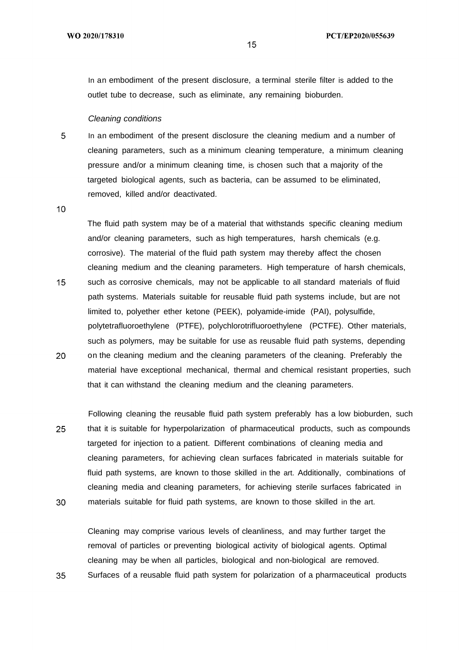In an embodiment of the present disclosure, a terminal sterile filter is added to the outlet tube to decrease, such as eliminate, any remaining bioburden.

### Cleaning conditions

5 In an embodiment of the present disclosure the cleaning medium and a number of cleaning parameters, such as a minimum cleaning temperature, a minimum cleaning pressure and/or a minimum cleaning time, is chosen such that a majority of the targeted biological agents, such as bacteria, can be assumed to be eliminated, removed, killed and/or deactivated.

 $10<sup>1</sup>$ 

15

35

The fluid path system may be of a material that withstands specific cleaning medium and/or cleaning parameters, such as high temperatures, harsh chemicals (e.g. corrosive). The material of the fluid path system may thereby affect the chosen cleaning medium and the cleaning parameters. High temperature of harsh chemicals, such as corrosive chemicals, may not be applicable to all standard materials of fluid path systems. Materials suitable for reusable fluid path systems include, but are not limited to, polyether ether ketone (PEEK), polyamide-imide (PAI), polysulfide, polytetrafluoroethylene (PTFE), polychlorotrifluoroethylene (PCTFE). Other materials, such as polymers, may be suitable for use as reusable fluid path systems, depending

- 20 on the cleaning medium and the cleaning parameters of the cleaning. Preferably the material have exceptional mechanical, thermal and chemical resistant properties, such that it can withstand the cleaning medium and the cleaning parameters.
- Following cleaning the reusable fluid path system preferably has a low bioburden, such 25 that it is suitable for hyperpolarization of pharmaceutical products, such as compounds targeted for injection to a patient. Different combinations of cleaning media and cleaning parameters, for achieving clean surfaces fabricated in materials suitable for fluid path systems, are known to those skilled in the art. Additionally, combinations of cleaning media and cleaning parameters, for achieving sterile surfaces fabricated in 30 materials suitable for fluid path systems, are known to those skilled in the art.

Cleaning may comprise various levels of cleanliness, and may further target the removal of particles or preventing biological activity of biological agents. Optimal cleaning may be when all particles, biological and non-biological are removed. Surfaces of a reusable fluid path system for polarization of a pharmaceutical products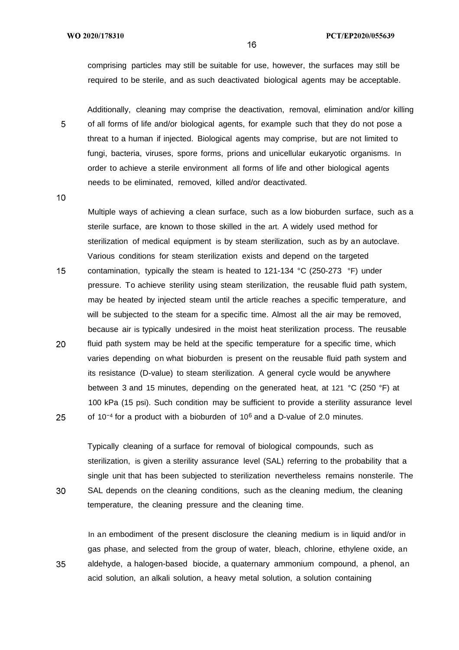comprising particles may still be suitable for use, however, the surfaces may still be required to be sterile, and as such deactivated biological agents may be acceptable.

Additionally, cleaning may comprise the deactivation, removal, elimination and/or killing of all forms of life and/or biological agents, for example such that they do not pose a threat to a human if injected. Biological agents may comprise, but are not limited to fungi, bacteria, viruses, spore forms, prions and unicellular eukaryotic organisms. In order to achieve a sterile environment all forms of life and other biological agents needs to be eliminated, removed, killed and/or deactivated.

 $10<sup>°</sup>$ 

30

5

Multiple ways of achieving a clean surface, such as a low bioburden surface, such as a sterile surface, are known to those skilled in the art. A widely used method for sterilization of medical equipment is by steam sterilization, such as by an autoclave. Various conditions for steam sterilization exists and depend on the targeted

 $15<sup>1</sup>$ contamination, typically the steam is heated to  $121-134$  °C (250-273 °F) under pressure. To achieve sterility using steam sterilization, the reusable fluid path system, may be heated by injected steam until the article reaches a specific temperature, and will be subjected to the steam for a specific time. Almost all the air may be removed, because air is typically undesired in the moist heat sterilization process. The reusable 20 fluid path system may be held at the specific temperature for a specific time, which varies depending on what bioburden is present on the reusable fluid path system and its resistance (D-value) to steam sterilization. A general cycle would be anywhere between 3 and 15 minutes, depending on the generated heat, at 121 °C (250 °F) at 100 kPa (15 psi). Such condition may be sufficient to provide a sterility assurance level 25 of  $10^{-4}$  for a product with a bioburden of  $10^6$  and a D-value of 2.0 minutes.

Typically cleaning of a surface for removal of biological compounds, such as sterilization, is given a sterility assurance level (SAL) referring to the probability that a single unit that has been subjected to sterilization nevertheless remains nonsterile. The SAL depends on the cleaning conditions, such as the cleaning medium, the cleaning temperature, the cleaning pressure and the cleaning time.

In an embodiment of the present disclosure the cleaning medium is in liquid and/or in gas phase, and selected from the group of water, bleach, chlorine, ethylene oxide, an 35 aldehyde, a halogen-based biocide, a quaternary ammonium compound, a phenol, an acid solution, an alkali solution, a heavy metal solution, a solution containing

 $16<sup>°</sup>$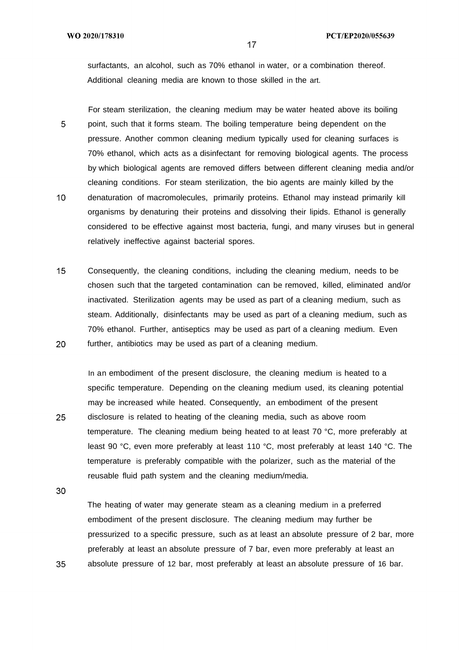surfactants, an alcohol, such as 70% ethanol in water, or a combination thereof. Additional cleaning media are known to those skilled in the art.

For steam sterilization, the cleaning medium may be water heated above its boiling 5 point, such that it forms steam. The boiling temperature being dependent on the pressure. Another common cleaning medium typically used for cleaning surfaces is 70% ethanol, which acts as a disinfectant for removing biological agents. The process by which biological agents are removed differs between different cleaning media and/or cleaning conditions. For steam sterilization, the bio agents are mainly killed by the  $10<sup>°</sup>$ denaturation of macromolecules, primarily proteins. Ethanol may instead primarily kill organisms by denaturing their proteins and dissolving their lipids. Ethanol is generally

- considered to be effective against most bacteria, fungi, and many viruses but in general relatively ineffective against bacterial spores.
- $15<sup>1</sup>$ Consequently, the cleaning conditions, including the cleaning medium, needs to be chosen such that the targeted contamination can be removed, killed, eliminated and/or inactivated. Sterilization agents may be used as part of a cleaning medium, such as steam. Additionally, disinfectants may be used as part of a cleaning medium, such as 70% ethanol. Further, antiseptics may be used as part of a cleaning medium. Even 20 further, antibiotics may be used as part of a cleaning medium.

In an embodiment of the present disclosure, the cleaning medium is heated to a specific temperature. Depending on the cleaning medium used, its cleaning potential may be increased while heated. Consequently, an embodiment of the present 25 disclosure is related to heating of the cleaning media, such as above room temperature. The cleaning medium being heated to at least 70 °C, more preferably at least 90 °C, even more preferably at least 110 °C, most preferably at least 140 °C. The temperature is preferably compatible with the polarizer, such as the material of the reusable fluid path system and the cleaning medium/media.

30

35

The heating of water may generate steam as a cleaning medium in a preferred embodiment of the present disclosure. The cleaning medium may further be pressurized to a specific pressure, such as at least an absolute pressure of 2 bar, more preferably at least an absolute pressure of 7 bar, even more preferably at least an absolute pressure of 12 bar, most preferably at least an absolute pressure of 16 bar.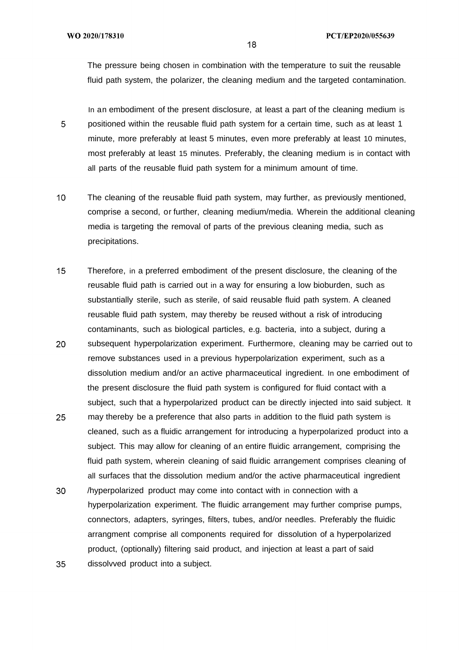The pressure being chosen in combination with the temperature to suit the reusable fluid path system, the polarizer, the cleaning medium and the targeted contamination.

In an embodiment of the present disclosure, at least a part of the cleaning medium is 5 positioned within the reusable fluid path system for a certain time, such as at least 1 minute, more preferably at least 5 minutes, even more preferably at least 10 minutes, most preferably at least 15 minutes. Preferably, the cleaning medium is in contact with all parts of the reusable fluid path system for a minimum amount of time.

- $10<sup>-10</sup>$ The cleaning of the reusable fluid path system, may further, as previously mentioned, comprise a second, or further, cleaning medium/media. Wherein the additional cleaning media is targeting the removal of parts of the previous cleaning media, such as precipitations.
- $15<sup>1</sup>$ Therefore, in a preferred embodiment of the present disclosure, the cleaning of the reusable fluid path is carried out in a way for ensuring a low bioburden, such as substantially sterile, such as sterile, of said reusable fluid path system. A cleaned reusable fluid path system, may thereby be reused without a risk of introducing contaminants, such as biological particles, e.g. bacteria, into a subject, during a 20 subsequent hyperpolarization experiment. Furthermore, cleaning may be carried out to remove substances used in a previous hyperpolarization experiment, such as a dissolution medium and/or an active pharmaceutical ingredient. In one embodiment of the present disclosure the fluid path system is configured for fluid contact with a
- 25 may thereby be a preference that also parts in addition to the fluid path system is cleaned, such as a fluidic arrangement for introducing a hyperpolarized product into a subject. This may allow for cleaning of an entire fluidic arrangement, comprising the fluid path system, wherein cleaning of said fluidic arrangement comprises cleaning of all surfaces that the dissolution medium and/or the active pharmaceutical ingredient

subject, such that a hyperpolarized product can be directly injected into said subject. It

30 /hyperpolarized product may come into contact with in connection with a hyperpolarization experiment. The fluidic arrangement may further comprise pumps, connectors, adapters, syringes, filters, tubes, and/or needles. Preferably the fluidic arrangment comprise all components required for dissolution of a hyperpolarized product, (optionally) filtering said product, and injection at least a part of said 35 dissolvved product into a subject.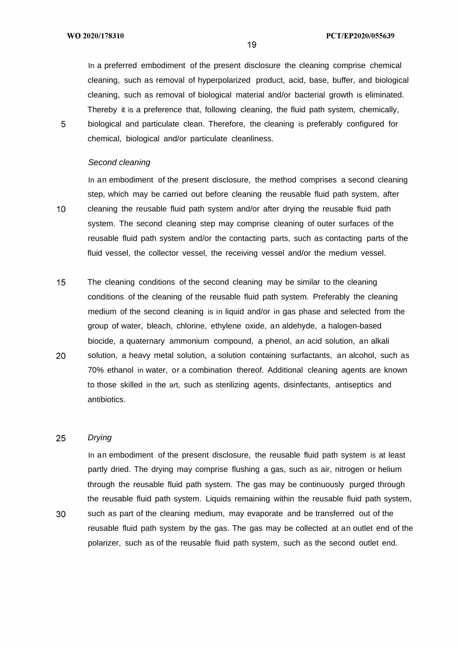In a preferred embodiment of the present disclosure the cleaning comprise chemical cleaning, such as removal of hyperpolarized product, acid, base, buffer, and biological cleaning, such as removal of biological material and/or bacterial growth is eliminated. Thereby it is a preference that, following cleaning, the fluid path system, chemically, biological and particulate clean. Therefore, the cleaning is preferably configured for chemical, biological and/or particulate cleanliness.

19

### Second cleaning

In an embodiment of the present disclosure, the method comprises a second cleaning step, which may be carried out before cleaning the reusable fluid path system, after cleaning the reusable fluid path system and/or after drying the reusable fluid path system. The second cleaning step may comprise cleaning of outer surfaces of the reusable fluid path system and/or the contacting parts, such as contacting parts of the fluid vessel, the collector vessel, the receiving vessel and/or the medium vessel.

 $15<sub>1</sub>$ The cleaning conditions of the second cleaning may be similar to the cleaning conditions of the cleaning of the reusable fluid path system. Preferably the cleaning medium of the second cleaning is in liquid and/or in gas phase and selected from the group of water, bleach, chlorine, ethylene oxide, an aldehyde, a halogen-based biocide, a quaternary ammonium compound, a phenol, an acid solution, an alkali 20 solution, a heavy metal solution, a solution containing surfactants, an alcohol, such as 70% ethanol in water, or a combination thereof. Additional cleaning agents are known to those skilled in the art, such as sterilizing agents, disinfectants, antiseptics and antibiotics.

### 25 Drying

In an embodiment of the present disclosure, the reusable fluid path system is at least partly dried. The drying may comprise flushing a gas, such as air, nitrogen or helium through the reusable fluid path system. The gas may be continuously purged through the reusable fluid path system. Liquids remaining within the reusable fluid path system,

30 such as part of the cleaning medium, may evaporate and be transferred out of the reusable fluid path system by the gas. The gas may be collected at an outlet end of the polarizer, such as of the reusable fluid path system, such as the second outlet end.

5

 $10<sup>°</sup>$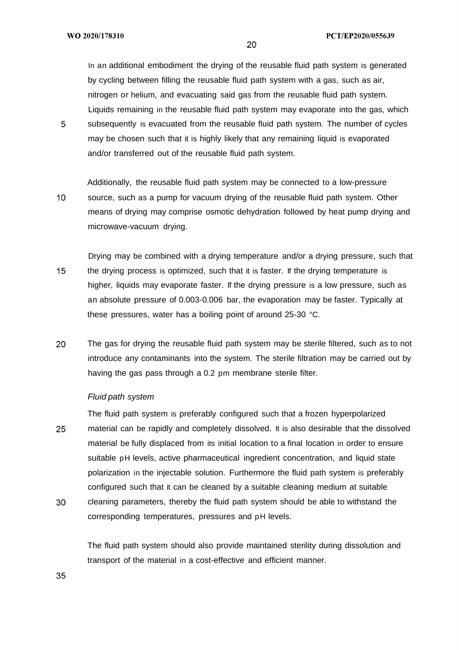In an additional embodiment the drying of the reusable fluid path system is generated by cycling between filling the reusable fluid path system with a gas, such as air, nitrogen or helium, and evacuating said gas from the reusable fluid path system. Liquids remaining in the reusable fluid path system may evaporate into the gas, which

5 subsequently is evacuated from the reusable fluid path system. The number of cycles may be chosen such that it is highly likely that any remaining liquid is evaporated and/or transferred out of the reusable fluid path system.

Additionally, the reusable fluid path system may be connected to a low-pressure  $10<sup>°</sup>$ source, such as a pump for vacuum drying of the reusable fluid path system. Other means of drying may comprise osmotic dehydration followed by heat pump drying and microwave-vacuum drying.

- Drying may be combined with a drying temperature and/or a drying pressure, such that  $15<sup>1</sup>$ the drying process is optimized, such that it is faster. If the drying temperature is higher, liquids may evaporate faster. If the drying pressure is a low pressure, such as an absolute pressure of 0.003-0.006 bar, the evaporation may be faster. Typically at these pressures, water has a boiling point of around 25-30 °C.
- 20 The gas for drying the reusable fluid path system may be sterile filtered, such as to not introduce any contaminants into the system. The sterile filtration may be carried out by having the gas pass through a 0.2 pm membrane sterile filter.

### Fluid path system

The fluid path system is preferably configured such that a frozen hyperpolarized 25 material can be rapidly and completely dissolved. It is also desirable that the dissolved material be fully displaced from its initial location to a final location in order to ensure suitable pH levels, active pharmaceutical ingredient concentration, and liquid state polarization in the injectable solution. Furthermore the fluid path system is preferably configured such that it can be cleaned by a suitable cleaning medium at suitable

30 cleaning parameters, thereby the fluid path system should be able to withstand the corresponding temperatures, pressures and pH levels.

The fluid path system should also provide maintained sterility during dissolution and transport of the material in a cost-effective and efficient manner.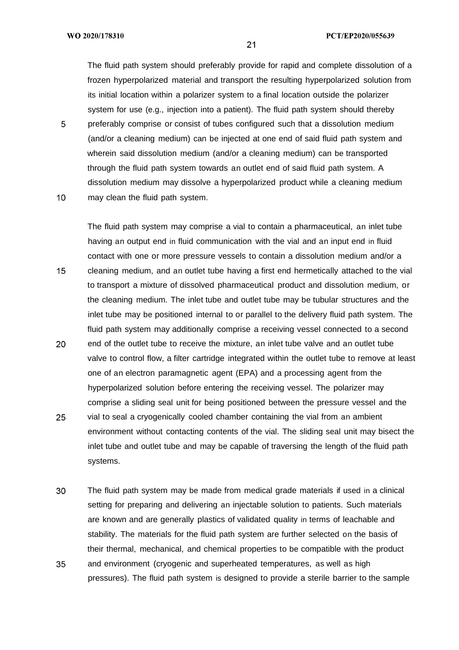WO 2020/178310

5

The fluid path system should preferably provide for rapid and complete dissolution of a frozen hyperpolarized material and transport the resulting hyperpolarized solution from its initial location within a polarizer system to a final location outside the polarizer system for use (e.g., injection into a patient). The fluid path system should thereby preferably comprise or consist of tubes configured such that a dissolution medium (and/or a cleaning medium) can be injected at one end of said fluid path system and wherein said dissolution medium (and/or a cleaning medium) can be transported through the fluid path system towards an outlet end of said fluid path system. A dissolution medium may dissolve a hyperpolarized product while a cleaning medium

 $10<sup>°</sup>$ may clean the fluid path system.

The fluid path system may comprise a vial to contain a pharmaceutical, an inlet tube having an output end in fluid communication with the vial and an input end in fluid contact with one or more pressure vessels to contain a dissolution medium and/or a  $15<sub>1</sub>$ cleaning medium, and an outlet tube having a first end hermetically attached to the vial to transport a mixture of dissolved pharmaceutical product and dissolution medium, or the cleaning medium. The inlet tube and outlet tube may be tubular structures and the inlet tube may be positioned internal to or parallel to the delivery fluid path system. The fluid path system may additionally comprise a receiving vessel connected to a second 20 end of the outlet tube to receive the mixture, an inlet tube valve and an outlet tube valve to control flow, a filter cartridge integrated within the outlet tube to remove at least one of an electron paramagnetic agent (EPA) and a processing agent from the hyperpolarized solution before entering the receiving vessel. The polarizer may comprise a sliding seal unit for being positioned between the pressure vessel and the 25 vial to seal a cryogenically cooled chamber containing the vial from an ambient environment without contacting contents of the vial. The sliding seal unit may bisect the

inlet tube and outlet tube and may be capable of traversing the length of the fluid path systems.

30 The fluid path system may be made from medical grade materials if used in a clinical setting for preparing and delivering an injectable solution to patients. Such materials are known and are generally plastics of validated quality in terms of leachable and stability. The materials for the fluid path system are further selected on the basis of their thermal, mechanical, and chemical properties to be compatible with the product 35 and environment (cryogenic and superheated temperatures, as well as high pressures). The fluid path system is designed to provide a sterile barrier to the sample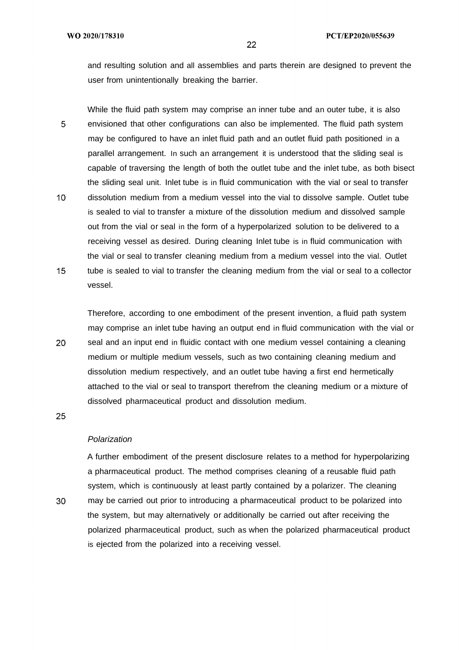and resulting solution and all assemblies and parts therein are designed to prevent the user from unintentionally breaking the barrier.

While the fluid path system may comprise an inner tube and an outer tube, it is also 5 envisioned that other configurations can also be implemented. The fluid path system may be configured to have an inlet fluid path and an outlet fluid path positioned in a parallel arrangement. In such an arrangement it is understood that the sliding seal is capable of traversing the length of both the outlet tube and the inlet tube, as both bisect the sliding seal unit. Inlet tube is in fluid communication with the vial or seal to transfer  $10<sup>°</sup>$ dissolution medium from a medium vessel into the vial to dissolve sample. Outlet tube is sealed to vial to transfer a mixture of the dissolution medium and dissolved sample out from the vial or seal in the form of a hyperpolarized solution to be delivered to a receiving vessel as desired. During cleaning Inlet tube is in fluid communication with the vial or seal to transfer cleaning medium from a medium vessel into the vial. Outlet  $15<sub>1</sub>$ tube is sealed to vial to transfer the cleaning medium from the vial or seal to a collector vessel.

Therefore, according to one embodiment of the present invention, a fluid path system may comprise an inlet tube having an output end in fluid communication with the vial or 20 seal and an input end in fluidic contact with one medium vessel containing a cleaning medium or multiple medium vessels, such as two containing cleaning medium and dissolution medium respectively, and an outlet tube having a first end hermetically attached to the vial or seal to transport therefrom the cleaning medium or a mixture of dissolved pharmaceutical product and dissolution medium.

25

30

### Polarization

A further embodiment of the present disclosure relates to a method for hyperpolarizing a pharmaceutical product. The method comprises cleaning of a reusable fluid path system, which is continuously at least partly contained by a polarizer. The cleaning may be carried out prior to introducing a pharmaceutical product to be polarized into the system, but may alternatively or additionally be carried out after receiving the polarized pharmaceutical product, such as when the polarized pharmaceutical product is ejected from the polarized into a receiving vessel.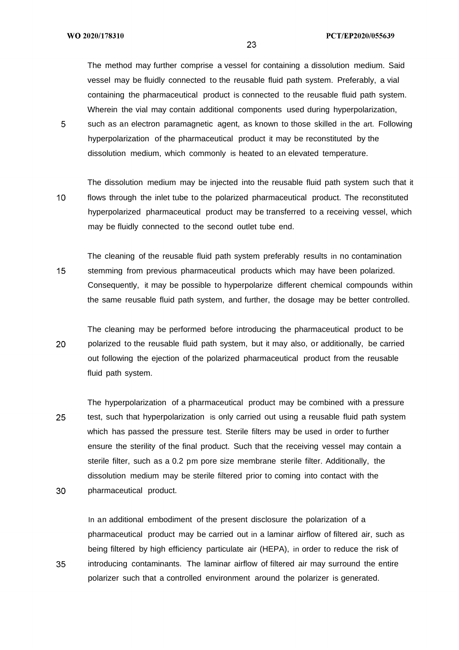The method may further comprise a vessel for containing a dissolution medium. Said vessel may be fluidly connected to the reusable fluid path system. Preferably, a vial containing the pharmaceutical product is connected to the reusable fluid path system. Wherein the vial may contain additional components used during hyperpolarization,

5 such as an electron paramagnetic agent, as known to those skilled in the art. Following hyperpolarization of the pharmaceutical product it may be reconstituted by the dissolution medium, which commonly is heated to an elevated temperature.

The dissolution medium may be injected into the reusable fluid path system such that it  $10<sup>°</sup>$ flows through the inlet tube to the polarized pharmaceutical product. The reconstituted hyperpolarized pharmaceutical product may be transferred to a receiving vessel, which may be fluidly connected to the second outlet tube end.

The cleaning of the reusable fluid path system preferably results in no contamination  $15<sub>1</sub>$ stemming from previous pharmaceutical products which may have been polarized. Consequently, it may be possible to hyperpolarize different chemical compounds within the same reusable fluid path system, and further, the dosage may be better controlled.

The cleaning may be performed before introducing the pharmaceutical product to be 20 polarized to the reusable fluid path system, but it may also, or additionally, be carried out following the ejection of the polarized pharmaceutical product from the reusable fluid path system.

The hyperpolarization of a pharmaceutical product may be combined with a pressure 25 test, such that hyperpolarization is only carried out using a reusable fluid path system which has passed the pressure test. Sterile filters may be used in order to further ensure the sterility of the final product. Such that the receiving vessel may contain a sterile filter, such as a 0.2 pm pore size membrane sterile filter. Additionally, the dissolution medium may be sterile filtered prior to coming into contact with the 30 pharmaceutical product.

In an additional embodiment of the present disclosure the polarization of a pharmaceutical product may be carried out in a laminar airflow of filtered air, such as being filtered by high efficiency particulate air (HEPA), in order to reduce the risk of introducing contaminants. The laminar airflow of filtered air may surround the entire polarizer such that a controlled environment around the polarizer is generated.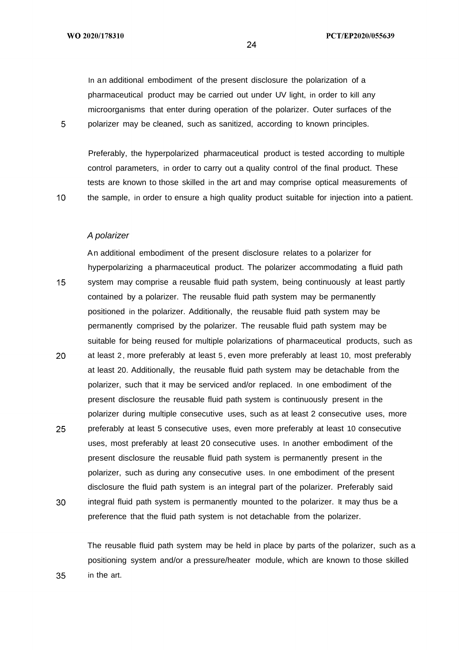In an additional embodiment of the present disclosure the polarization of a pharmaceutical product may be carried out under UV light, in order to kill any microorganisms that enter during operation of the polarizer. Outer surfaces of the polarizer may be cleaned, such as sanitized, according to known principles.

Preferably, the hyperpolarized pharmaceutical product is tested according to multiple control parameters, in order to carry out a quality control of the final product. These tests are known to those skilled in the art and may comprise optical measurements of the sample, in order to ensure a high quality product suitable for injection into a patient.

A polarizer

An additional embodiment of the present disclosure relates to a polarizer for hyperpolarizing a pharmaceutical product. The polarizer accommodating a fluid path 15 system may comprise a reusable fluid path system, being continuously at least partly contained by a polarizer. The reusable fluid path system may be permanently positioned in the polarizer. Additionally, the reusable fluid path system may be permanently comprised by the polarizer. The reusable fluid path system may be suitable for being reused for multiple polarizations of pharmaceutical products, such as 20 at least 2 , more preferably at least 5 , even more preferably at least 10, most preferably at least 20. Additionally, the reusable fluid path system may be detachable from the polarizer, such that it may be serviced and/or replaced. In one embodiment of the present disclosure the reusable fluid path system is continuously present in the polarizer during multiple consecutive uses, such as at least 2 consecutive uses, more

- 25 preferably at least 5 consecutive uses, even more preferably at least 10 consecutive uses, most preferably at least 20 consecutive uses. In another embodiment of the present disclosure the reusable fluid path system is permanently present in the polarizer, such as during any consecutive uses. In one embodiment of the present disclosure the fluid path system is an integral part of the polarizer. Preferably said
- 30 integral fluid path system is permanently mounted to the polarizer. It may thus be a preference that the fluid path system is not detachable from the polarizer.

The reusable fluid path system may be held in place by parts of the polarizer, such as a positioning system and/or a pressure/heater module, which are known to those skilled in the art.

24

5

 $10<sup>°</sup>$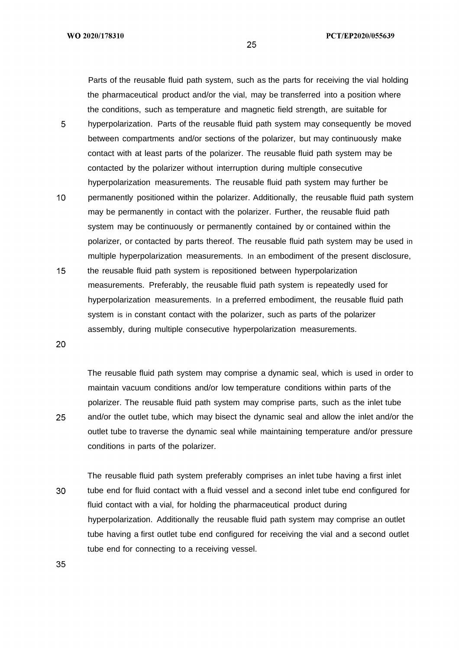Parts of the reusable fluid path system, such as the parts for receiving the vial holding the pharmaceutical product and/or the vial, may be transferred into a position where the conditions, such as temperature and magnetic field strength, are suitable for

- 5 hyperpolarization. Parts of the reusable fluid path system may consequently be moved between compartments and/or sections of the polarizer, but may continuously make contact with at least parts of the polarizer. The reusable fluid path system may be contacted by the polarizer without interruption during multiple consecutive hyperpolarization measurements. The reusable fluid path system may further be
- $10<sup>°</sup>$ permanently positioned within the polarizer. Additionally, the reusable fluid path system may be permanently in contact with the polarizer. Further, the reusable fluid path system may be continuously or permanently contained by or contained within the polarizer, or contacted by parts thereof. The reusable fluid path system may be used in multiple hyperpolarization measurements. In an embodiment of the present disclosure,
- $15<sup>1</sup>$ the reusable fluid path system is repositioned between hyperpolarization measurements. Preferably, the reusable fluid path system is repeatedly used for hyperpolarization measurements. In a preferred embodiment, the reusable fluid path system is in constant contact with the polarizer, such as parts of the polarizer assembly, during multiple consecutive hyperpolarization measurements.

20

25

The reusable fluid path system may comprise a dynamic seal, which is used in order to maintain vacuum conditions and/or low temperature conditions within parts of the polarizer. The reusable fluid path system may comprise parts, such as the inlet tube and/or the outlet tube, which may bisect the dynamic seal and allow the inlet and/or the outlet tube to traverse the dynamic seal while maintaining temperature and/or pressure conditions in parts of the polarizer.

The reusable fluid path system preferably comprises an inlet tube having a first inlet 30 tube end for fluid contact with a fluid vessel and a second inlet tube end configured for fluid contact with a vial, for holding the pharmaceutical product during hyperpolarization. Additionally the reusable fluid path system may comprise an outlet tube having a first outlet tube end configured for receiving the vial and a second outlet tube end for connecting to a receiving vessel.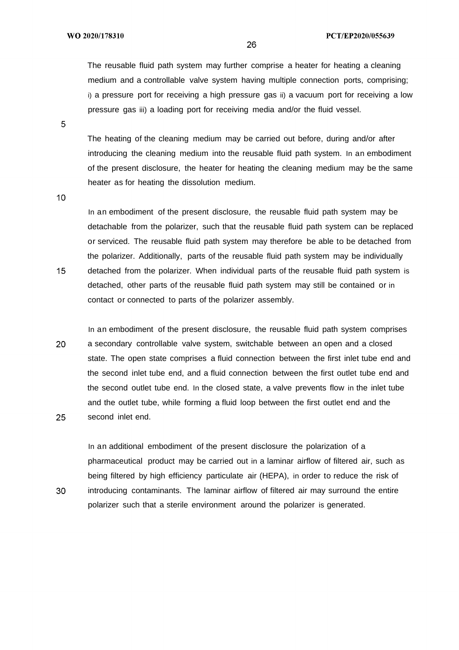The reusable fluid path system may further comprise a heater for heating a cleaning medium and a controllable valve system having multiple connection ports, comprising; i) a pressure port for receiving a high pressure gas ii) a vacuum port for receiving a low pressure gas iii) a loading port for receiving media and/or the fluid vessel.

5

The heating of the cleaning medium may be carried out before, during and/or after introducing the cleaning medium into the reusable fluid path system. In an embodiment of the present disclosure, the heater for heating the cleaning medium may be the same heater as for heating the dissolution medium.

 $10<sup>°</sup>$ 

 $15<sub>1</sub>$ 

30

In an embodiment of the present disclosure, the reusable fluid path system may be detachable from the polarizer, such that the reusable fluid path system can be replaced or serviced. The reusable fluid path system may therefore be able to be detached from the polarizer. Additionally, parts of the reusable fluid path system may be individually detached from the polarizer. When individual parts of the reusable fluid path system is detached, other parts of the reusable fluid path system may still be contained or in contact or connected to parts of the polarizer assembly.

In an embodiment of the present disclosure, the reusable fluid path system comprises 20 a secondary controllable valve system, switchable between an open and a closed state. The open state comprises a fluid connection between the first inlet tube end and the second inlet tube end, and a fluid connection between the first outlet tube end and the second outlet tube end. In the closed state, a valve prevents flow in the inlet tube and the outlet tube, while forming a fluid loop between the first outlet end and the 25 second inlet end.

In an additional embodiment of the present disclosure the polarization of a pharmaceutical product may be carried out in a laminar airflow of filtered air, such as being filtered by high efficiency particulate air (HEPA), in order to reduce the risk of introducing contaminants. The laminar airflow of filtered air may surround the entire polarizer such that a sterile environment around the polarizer is generated.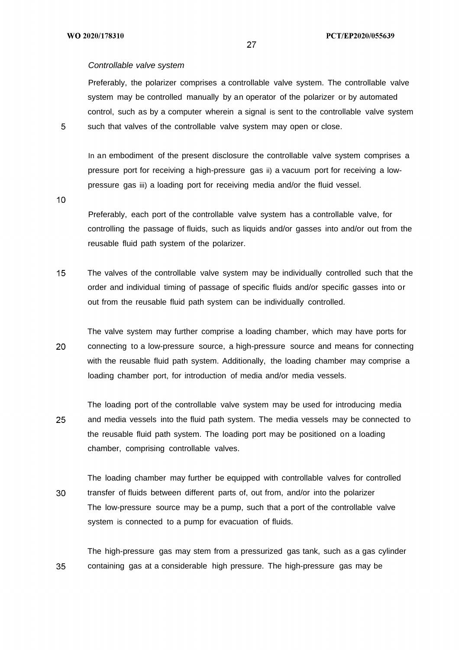### Controllable valve system

Preferably, the polarizer comprises a controllable valve system. The controllable valve system may be controlled manually by an operator of the polarizer or by automated control, such as by a computer wherein a signal is sent to the controllable valve system such that valves of the controllable valve system may open or close.

In an embodiment of the present disclosure the controllable valve system comprises a pressure port for receiving a high-pressure gas ii) a vacuum port for receiving a lowpressure gas iii) a loading port for receiving media and/or the fluid vessel.

 $10<sup>1</sup>$ 

Preferably, each port of the controllable valve system has a controllable valve, for controlling the passage of fluids, such as liquids and/or gasses into and/or out from the reusable fluid path system of the polarizer.

 $15<sub>1</sub>$ The valves of the controllable valve system may be individually controlled such that the order and individual timing of passage of specific fluids and/or specific gasses into or out from the reusable fluid path system can be individually controlled.

The valve system may further comprise a loading chamber, which may have ports for 20 connecting to a low-pressure source, a high-pressure source and means for connecting with the reusable fluid path system. Additionally, the loading chamber may comprise a loading chamber port, for introduction of media and/or media vessels.

The loading port of the controllable valve system may be used for introducing media 25 and media vessels into the fluid path system. The media vessels may be connected to the reusable fluid path system. The loading port may be positioned on a loading chamber, comprising controllable valves.

The loading chamber may further be equipped with controllable valves for controlled 30 transfer of fluids between different parts of, out from, and/or into the polarizer The low-pressure source may be a pump, such that a port of the controllable valve system is connected to a pump for evacuation of fluids.

The high-pressure gas may stem from a pressurized gas tank, such as a gas cylinder 35 containing gas at a considerable high pressure. The high-pressure gas may be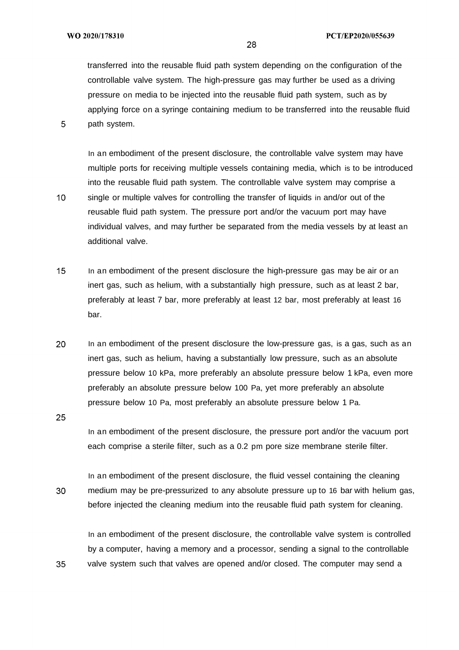$10<sup>°</sup>$ 

transferred into the reusable fluid path system depending on the configuration of the controllable valve system. The high-pressure gas may further be used as a driving pressure on media to be injected into the reusable fluid path system, such as by applying force on a syringe containing medium to be transferred into the reusable fluid path system.

In an embodiment of the present disclosure, the controllable valve system may have multiple ports for receiving multiple vessels containing media, which is to be introduced into the reusable fluid path system. The controllable valve system may comprise a single or multiple valves for controlling the transfer of liquids in and/or out of the reusable fluid path system. The pressure port and/or the vacuum port may have individual valves, and may further be separated from the media vessels by at least an additional valve.

- $15<sup>1</sup>$ In an embodiment of the present disclosure the high-pressure gas may be air or an inert gas, such as helium, with a substantially high pressure, such as at least 2 bar, preferably at least 7 bar, more preferably at least 12 bar, most preferably at least 16 bar.
- 20 In an embodiment of the present disclosure the low-pressure gas, is a gas, such as an inert gas, such as helium, having a substantially low pressure, such as an absolute pressure below 10 kPa, more preferably an absolute pressure below 1 kPa, even more preferably an absolute pressure below 100 Pa, yet more preferably an absolute pressure below 10 Pa, most preferably an absolute pressure below 1 Pa.

25

35

In an embodiment of the present disclosure, the pressure port and/or the vacuum port each comprise a sterile filter, such as a 0.2 pm pore size membrane sterile filter.

In an embodiment of the present disclosure, the fluid vessel containing the cleaning 30 medium may be pre-pressurized to any absolute pressure up to 16 bar with helium gas, before injected the cleaning medium into the reusable fluid path system for cleaning.

In an embodiment of the present disclosure, the controllable valve system is controlled by a computer, having a memory and a processor, sending a signal to the controllable valve system such that valves are opened and/or closed. The computer may send a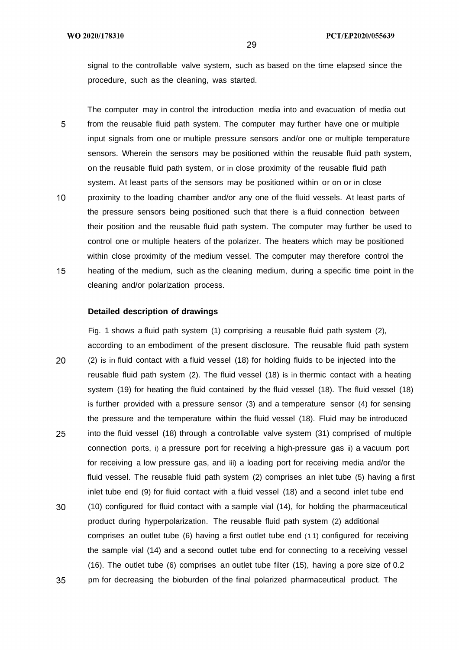signal to the controllable valve system, such as based on the time elapsed since the procedure, such as the cleaning, was started.

The computer may in control the introduction media into and evacuation of media out 5 from the reusable fluid path system. The computer may further have one or multiple input signals from one or multiple pressure sensors and/or one or multiple temperature sensors. Wherein the sensors may be positioned within the reusable fluid path system, on the reusable fluid path system, or in close proximity of the reusable fluid path system. At least parts of the sensors may be positioned within or on or in close

 $10<sup>°</sup>$ proximity to the loading chamber and/or any one of the fluid vessels. At least parts of the pressure sensors being positioned such that there is a fluid connection between their position and the reusable fluid path system. The computer may further be used to control one or multiple heaters of the polarizer. The heaters which may be positioned within close proximity of the medium vessel. The computer may therefore control the  $15<sub>1</sub>$ heating of the medium, such as the cleaning medium, during a specific time point in the cleaning and/or polarization process.

### **Detailed description of drawings**

Fig. 1 shows a fluid path system (1) comprising a reusable fluid path system (2), according to an embodiment of the present disclosure. The reusable fluid path system 20 (2) is in fluid contact with a fluid vessel (18) for holding fluids to be injected into the reusable fluid path system (2). The fluid vessel (18) is in thermic contact with a heating system (19) for heating the fluid contained by the fluid vessel (18). The fluid vessel (18) is further provided with a pressure sensor (3) and a temperature sensor (4) for sensing the pressure and the temperature within the fluid vessel (18). Fluid may be introduced 25 into the fluid vessel (18) through a controllable valve system (31) comprised of multiple connection ports, i) a pressure port for receiving a high-pressure gas ii) a vacuum port for receiving a low pressure gas, and iii) a loading port for receiving media and/or the fluid vessel. The reusable fluid path system (2) comprises an inlet tube (5) having a first inlet tube end (9) for fluid contact with a fluid vessel (18) and a second inlet tube end

30 (10) configured for fluid contact with a sample vial (14), for holding the pharmaceutical product during hyperpolarization. The reusable fluid path system (2) additional comprises an outlet tube (6) having a first outlet tube end ( 1 1) configured for receiving the sample vial (14) and a second outlet tube end for connecting to a receiving vessel (16). The outlet tube (6) comprises an outlet tube filter (15), having a pore size of 0.2 35 pm for decreasing the bioburden of the final polarized pharmaceutical product. The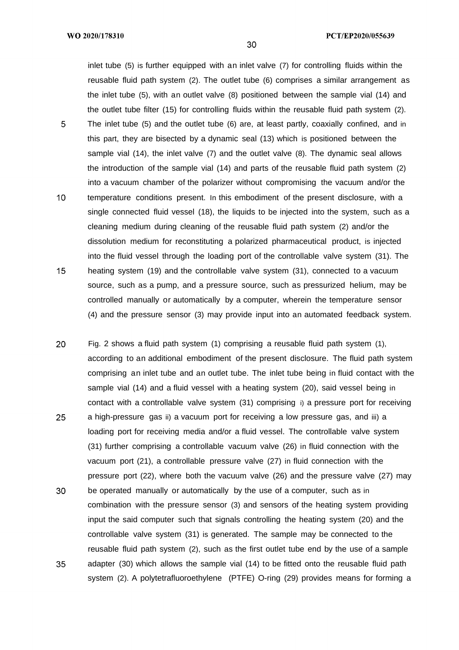inlet tube (5) is further equipped with an inlet valve (7) for controlling fluids within the reusable fluid path system (2). The outlet tube (6) comprises a similar arrangement as the inlet tube (5), with an outlet valve (8) positioned between the sample vial (14) and the outlet tube filter (15) for controlling fluids within the reusable fluid path system (2).

- 5 The inlet tube (5) and the outlet tube (6) are, at least partly, coaxially confined, and in this part, they are bisected by a dynamic seal (13) which is positioned between the sample vial (14), the inlet valve (7) and the outlet valve (8). The dynamic seal allows the introduction of the sample vial (14) and parts of the reusable fluid path system (2) into a vacuum chamber of the polarizer without compromising the vacuum and/or the
- $10<sup>°</sup>$ temperature conditions present. In this embodiment of the present disclosure, with a single connected fluid vessel (18), the liquids to be injected into the system, such as a cleaning medium during cleaning of the reusable fluid path system (2) and/or the dissolution medium for reconstituting a polarized pharmaceutical product, is injected into the fluid vessel through the loading port of the controllable valve system (31). The  $15<sup>1</sup>$ heating system (19) and the controllable valve system (31), connected to a vacuum source, such as a pump, and a pressure source, such as pressurized helium, may be controlled manually or automatically by a computer, wherein the temperature sensor (4) and the pressure sensor (3) may provide input into an automated feedback system.
- 20 Fig. 2 shows a fluid path system (1) comprising a reusable fluid path system (1), according to an additional embodiment of the present disclosure. The fluid path system comprising an inlet tube and an outlet tube. The inlet tube being in fluid contact with the sample vial (14) and a fluid vessel with a heating system (20), said vessel being in contact with a controllable valve system (31) comprising i) a pressure port for receiving
- 25 a high-pressure gas ii) a vacuum port for receiving a low pressure gas, and iii) a loading port for receiving media and/or a fluid vessel. The controllable valve system (31) further comprising a controllable vacuum valve (26) in fluid connection with the vacuum port (21), a controllable pressure valve (27) in fluid connection with the pressure port (22), where both the vacuum valve (26) and the pressure valve (27) may
- 30 be operated manually or automatically by the use of a computer, such as in combination with the pressure sensor (3) and sensors of the heating system providing input the said computer such that signals controlling the heating system (20) and the controllable valve system (31) is generated. The sample may be connected to the reusable fluid path system (2), such as the first outlet tube end by the use of a sample 35 adapter (30) which allows the sample vial (14) to be fitted onto the reusable fluid path system (2). A polytetrafluoroethylene (PTFE) O-ring (29) provides means for forming a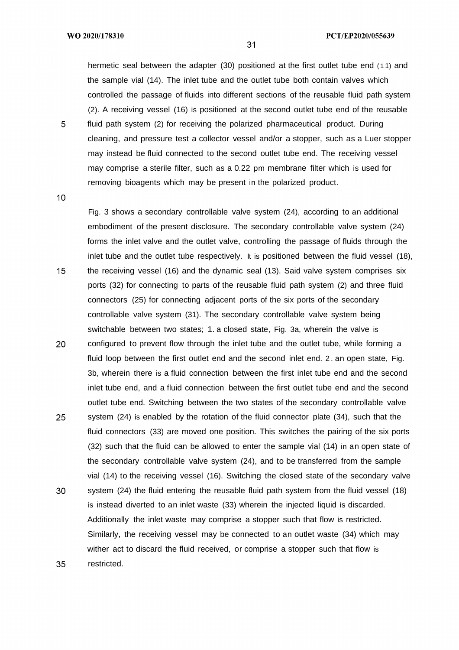WO 2020/178310

hermetic seal between the adapter (30) positioned at the first outlet tube end (11) and the sample vial (14). The inlet tube and the outlet tube both contain valves which controlled the passage of fluids into different sections of the reusable fluid path system (2). A receiving vessel (16) is positioned at the second outlet tube end of the reusable

5 fluid path system (2) for receiving the polarized pharmaceutical product. During cleaning, and pressure test a collector vessel and/or a stopper, such as a Luer stopper may instead be fluid connected to the second outlet tube end. The receiving vessel may comprise a sterile filter, such as a 0.22 pm membrane filter which is used for removing bioagents which may be present in the polarized product.

 $10<sup>°</sup>$ 

35

Fig. 3 shows a secondary controllable valve system (24), according to an additional embodiment of the present disclosure. The secondary controllable valve system (24) forms the inlet valve and the outlet valve, controlling the passage of fluids through the inlet tube and the outlet tube respectively. It is positioned between the fluid vessel (18),  $15<sup>1</sup>$ the receiving vessel (16) and the dynamic seal (13). Said valve system comprises six ports (32) for connecting to parts of the reusable fluid path system (2) and three fluid connectors (25) for connecting adjacent ports of the six ports of the secondary controllable valve system (31). The secondary controllable valve system being switchable between two states; 1. a closed state, Fig. 3a, wherein the valve is 20 configured to prevent flow through the inlet tube and the outlet tube, while forming a fluid loop between the first outlet end and the second inlet end. 2. an open state, Fig. 3b, wherein there is a fluid connection between the first inlet tube end and the second inlet tube end, and a fluid connection between the first outlet tube end and the second outlet tube end. Switching between the two states of the secondary controllable valve 25 system (24) is enabled by the rotation of the fluid connector plate (34), such that the fluid connectors (33) are moved one position. This switches the pairing of the six ports (32) such that the fluid can be allowed to enter the sample vial (14) in an open state of the secondary controllable valve system (24), and to be transferred from the sample vial (14) to the receiving vessel (16). Switching the closed state of the secondary valve 30 system (24) the fluid entering the reusable fluid path system from the fluid vessel (18) is instead diverted to an inlet waste (33) wherein the injected liquid is discarded. Additionally the inlet waste may comprise a stopper such that flow is restricted. Similarly, the receiving vessel may be connected to an outlet waste (34) which may

wither act to discard the fluid received, or comprise a stopper such that flow is restricted.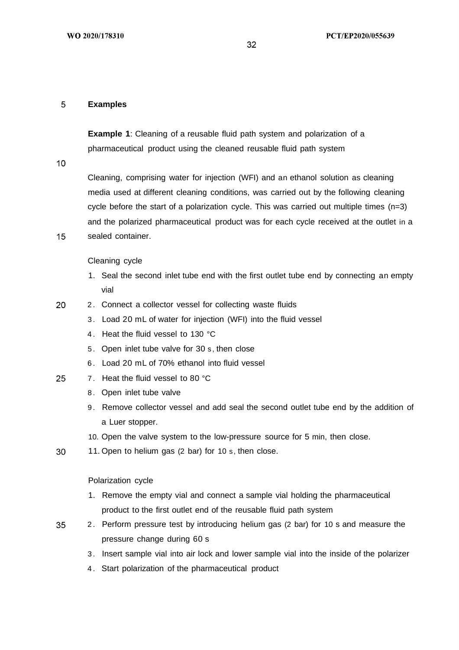### 5 **Examples**

**Example 1:** Cleaning of a reusable fluid path system and polarization of a pharmaceutical product using the cleaned reusable fluid path system

 $10<sup>°</sup>$ 

Cleaning, comprising water for injection (WFI) and an ethanol solution as cleaning media used at different cleaning conditions, was carried out by the following cleaning cycle before the start of a polarization cycle. This was carried out multiple times  $(n=3)$ and the polarized pharmaceutical product was for each cycle received at the outlet in a

15 sealed container.

Cleaning cycle

- 1. Seal the second inlet tube end with the first outlet tube end by connecting an empty vial
- 20 2 . Connect a collector vessel for collecting waste fluids
	- 3 . Load 20 mL of water for injection (WFI) into the fluid vessel
	- 4. Heat the fluid vessel to 130 °C
	- 5 . Open inlet tube valve for 30 s , then close
	- 6 . Load 20 mL of 70% ethanol into fluid vessel
- 25 7. Heat the fluid vessel to 80 °C
	- 8. Open inlet tube valve
	- 9 . Remove collector vessel and add seal the second outlet tube end by the addition of a Luer stopper.
	- 10. Open the valve system to the low-pressure source for 5 min, then close.
- 30 11. Open to helium gas (2 bar) for 10 s, then close.

Polarization cycle

- 1. Remove the empty vial and connect a sample vial holding the pharmaceutical product to the first outlet end of the reusable fluid path system
- 35 2 . Perform pressure test by introducing helium gas (2 bar) for 10 s and measure the pressure change during 60 s
	- 3 . Insert sample vial into air lock and lower sample vial into the inside of the polarizer
	- 4 . Start polarization of the pharmaceutical product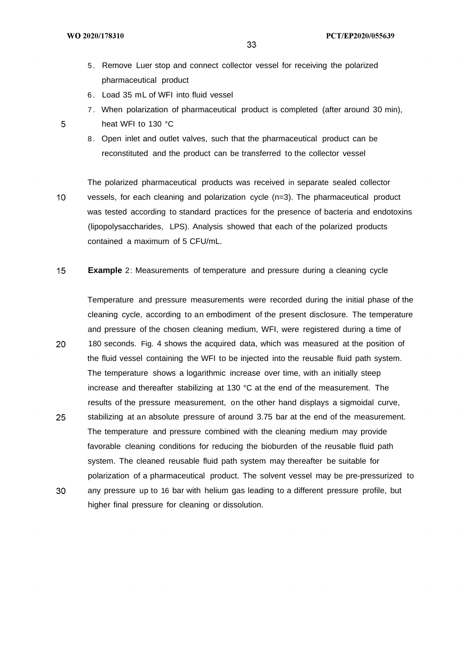- 5 . Remove Luer stop and connect collector vessel for receiving the polarized pharmaceutical product
- 6 . Load 35 mL of WFI into fluid vessel
- 7 . When polarization of pharmaceutical product is completed (after around 30 min),

- heat WFI to 130 °C
	- 8 . Open inlet and outlet valves, such that the pharmaceutical product can be reconstituted and the product can be transferred to the collector vessel
- The polarized pharmaceutical products was received in separate sealed collector  $10<sup>°</sup>$ vessels, for each cleaning and polarization cycle (n=3). The pharmaceutical product was tested according to standard practices for the presence of bacteria and endotoxins (lipopolysaccharides, LPS). Analysis showed that each of the polarized products contained a maximum of 5 CFU/mL.
- $15<sup>15</sup>$ **Example** 2: Measurements of temperature and pressure during a cleaning cycle
- Temperature and pressure measurements were recorded during the initial phase of the cleaning cycle, according to an embodiment of the present disclosure. The temperature and pressure of the chosen cleaning medium, WFI, were registered during a time of 20 180 seconds. Fig. 4 shows the acquired data, which was measured at the position of the fluid vessel containing the WFI to be injected into the reusable fluid path system. The temperature shows a logarithmic increase over time, with an initially steep increase and thereafter stabilizing at 130  $\degree$ C at the end of the measurement. The results of the pressure measurement, on the other hand displays a sigmoidal curve,
- 25 stabilizing at an absolute pressure of around 3.75 bar at the end of the measurement. The temperature and pressure combined with the cleaning medium may provide favorable cleaning conditions for reducing the bioburden of the reusable fluid path system. The cleaned reusable fluid path system may thereafter be suitable for polarization of a pharmaceutical product. The solvent vessel may be pre-pressurized to 30 any pressure up to 16 bar with helium gas leading to a different pressure profile, but

higher final pressure for cleaning or dissolution.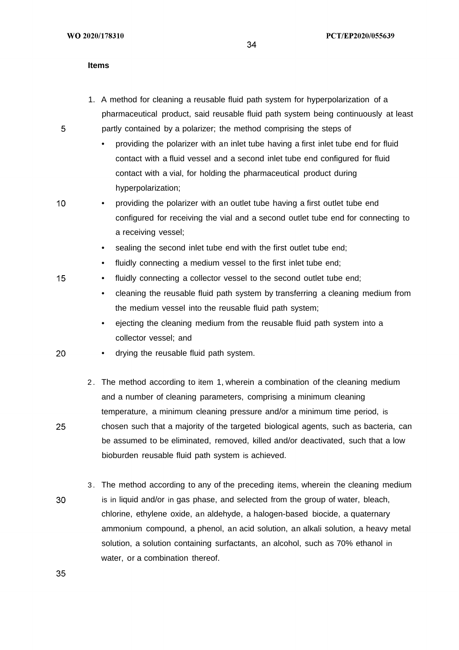### **Items**

- 1. A method for cleaning a reusable fluid path system for hyperpolarization of a pharmaceutical product, said reusable fluid path system being continuously at least partly contained by a polarizer; the method comprising the steps of
	- providing the polarizer with an inlet tube having a first inlet tube end for fluid contact with a fluid vessel and a second inlet tube end configured for fluid contact with a vial, for holding the pharmaceutical product during hyperpolarization;
- $10<sup>°</sup>$

15

5

• providing the polarizer with an outlet tube having a first outlet tube end configured for receiving the vial and a second outlet tube end for connecting to a receiving vessel;

- sealing the second inlet tube end with the first outlet tube end;
- fluidly connecting a medium vessel to the first inlet tube end;
- fluidly connecting a collector vessel to the second outlet tube end;
	- cleaning the reusable fluid path system by transferring a cleaning medium from the medium vessel into the reusable fluid path system;
	- ejecting the cleaning medium from the reusable fluid path system into a collector vessel; and
- 20 • drying the reusable fluid path system.
	- 2 . The method according to item 1, wherein a combination of the cleaning medium and a number of cleaning parameters, comprising a minimum cleaning temperature, a minimum cleaning pressure and/or a minimum time period, is chosen such that a majority of the targeted biological agents, such as bacteria, can be assumed to be eliminated, removed, killed and/or deactivated, such that a low bioburden reusable fluid path system is achieved.
- 3 . The method according to any of the preceding items, wherein the cleaning medium 30 is in liquid and/or in gas phase, and selected from the group of water, bleach, chlorine, ethylene oxide, an aldehyde, a halogen-based biocide, a quaternary ammonium compound, a phenol, an acid solution, an alkali solution, a heavy metal solution, a solution containing surfactants, an alcohol, such as 70% ethanol in water, or a combination thereof.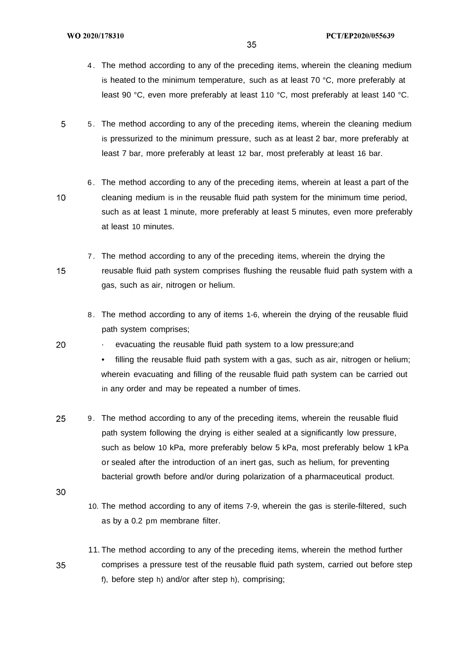- 4 . The method according to any of the preceding items, wherein the cleaning medium is heated to the minimum temperature, such as at least 70 °C, more preferably at least 90 °C, even more preferably at least 110 °C, most preferably at least 140 °C.
- 5 5 . The method according to any of the preceding items, wherein the cleaning medium is pressurized to the minimum pressure, such as at least 2 bar, more preferably at least 7 bar, more preferably at least 12 bar, most preferably at least 16 bar.
- 6 . The method according to any of the preceding items, wherein at least a part of the  $10<sup>°</sup>$ cleaning medium is in the reusable fluid path system for the minimum time period, such as at least 1 minute, more preferably at least 5 minutes, even more preferably at least 10 minutes.
	- 7 . The method according to any of the preceding items, wherein the drying the reusable fluid path system comprises flushing the reusable fluid path system with a gas, such as air, nitrogen or helium.
		- 8 . The method according to any of items 1-6, wherein the drying of the reusable fluid path system comprises;

evacuating the reusable fluid path system to a low pressure; and

• filling the reusable fluid path system with a gas, such as air, nitrogen or helium; wherein evacuating and filling of the reusable fluid path system can be carried out in any order and may be repeated a number of times.

- 25 9 . The method according to any of the preceding items, wherein the reusable fluid path system following the drying is either sealed at a significantly low pressure, such as below 10 kPa, more preferably below 5 kPa, most preferably below 1 kPa or sealed after the introduction of an inert gas, such as helium, for preventing bacterial growth before and/or during polarization of a pharmaceutical product.
- 30

 $15<sub>1</sub>$ 

20

- 10. The method according to any of items 7-9, wherein the gas is sterile-filtered, such as by a 0.2 pm membrane filter.
- 11. The method according to any of the preceding items, wherein the method further comprises a pressure test of the reusable fluid path system, carried out before step 35 f), before step h) and/or after step h), comprising;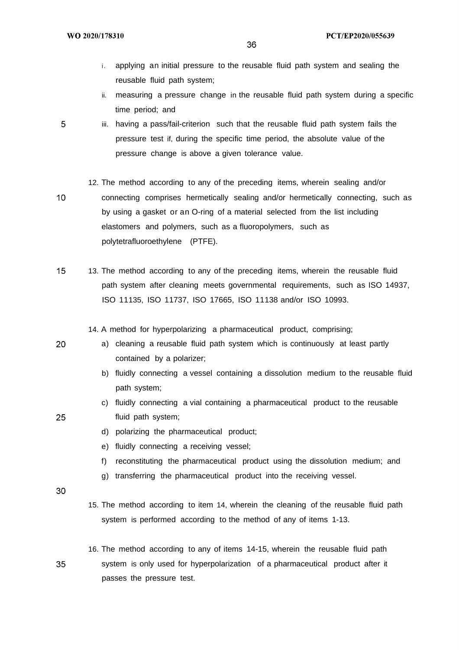- i. applying an initial pressure to the reusable fluid path system and sealing the reusable fluid path system;
- ii. measuring a pressure change in the reusable fluid path system during a specific time period; and

iii. having a pass/fail-criterion such that the reusable fluid path system fails the pressure test if, during the specific time period, the absolute value of the pressure change is above a given tolerance value.

12. The method according to any of the preceding items, wherein sealing and/or connecting comprises hermetically sealing and/or hermetically connecting, such as by using a gasket or an O-ring of a material selected from the list including elastomers and polymers, such as a fluoropolymers, such as polytetrafluoroethylene (PTFE).

 $15$ 13. The method according to any of the preceding items, wherein the reusable fluid path system after cleaning meets governmental requirements, such as ISO 14937, ISO 11135, ISO 11737, ISO 17665, ISO 11138 and/or ISO 10993.

14. A method for hyperpolarizing a pharmaceutical product, comprising;

a) cleaning a reusable fluid path system which is continuously at least partly contained by a polarizer;

- b) fluidly connecting a vessel containing a dissolution medium to the reusable fluid path system;
- c) fluidly connecting a vial containing a pharmaceutical product to the reusable fluid path system;
- d) polarizing the pharmaceutical product;
- e) fluidly connecting a receiving vessel;
- f) reconstituting the pharmaceutical product using the dissolution medium; and
- g) transferring the pharmaceutical product into the receiving vessel.
- 30

35

- 15. The method according to item 14, wherein the cleaning of the reusable fluid path system is performed according to the method of any of items 1-13.
- 16. The method according to any of items 14-15, wherein the reusable fluid path system is only used for hyperpolarization of a pharmaceutical product after it passes the pressure test.

5

 $10<sup>°</sup>$ 

20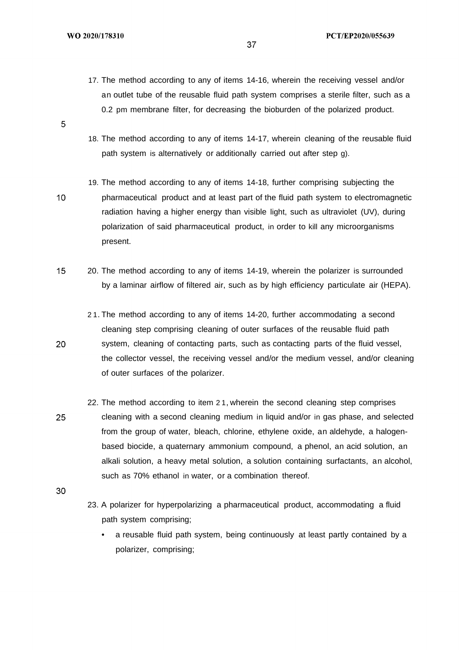17. The method according to any of items 14-16, wherein the receiving vessel and/or an outlet tube of the reusable fluid path system comprises a sterile filter, such as a 0.2 pm membrane filter, for decreasing the bioburden of the polarized product.

37

18. The method according to any of items 14-17, wherein cleaning of the reusable fluid path system is alternatively or additionally carried out after step g).

19. The method according to any of items 14-18, further comprising subjecting the pharmaceutical product and at least part of the fluid path system to electromagnetic radiation having a higher energy than visible light, such as ultraviolet (UV), during polarization of said pharmaceutical product, in order to kill any microorganisms present.

- $15<sub>1</sub>$ 20. The method according to any of items 14-19, wherein the polarizer is surrounded by a laminar airflow of filtered air, such as by high efficiency particulate air (HEPA).
	- 2 1. The method according to any of items 14-20, further accommodating a second cleaning step comprising cleaning of outer surfaces of the reusable fluid path system, cleaning of contacting parts, such as contacting parts of the fluid vessel, the collector vessel, the receiving vessel and/or the medium vessel, and/or cleaning of outer surfaces of the polarizer.
- 22. The method according to item 2 1, wherein the second cleaning step comprises 25 cleaning with a second cleaning medium in liquid and/or in gas phase, and selected from the group of water, bleach, chlorine, ethylene oxide, an aldehyde, a halogenbased biocide, a quaternary ammonium compound, a phenol, an acid solution, an alkali solution, a heavy metal solution, a solution containing surfactants, an alcohol, such as 70% ethanol in water, or a combination thereof.
- 30
- 23. A polarizer for hyperpolarizing a pharmaceutical product, accommodating a fluid path system comprising;
	- a reusable fluid path system, being continuously at least partly contained by a polarizer, comprising;

 $\overline{5}$ 

 $10<sup>°</sup>$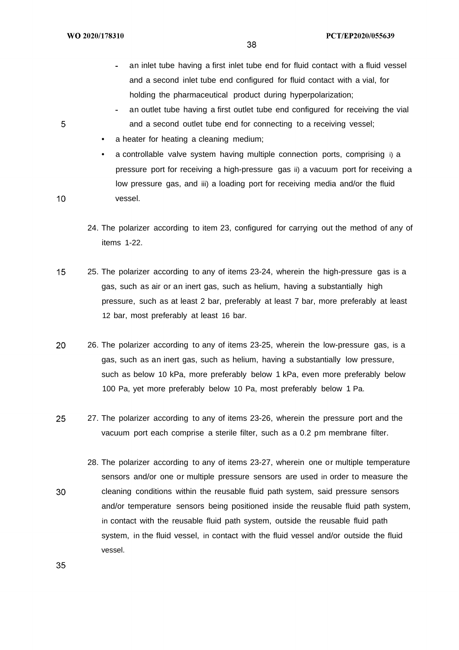- an inlet tube having a first inlet tube end for fluid contact with a fluid vessel and a second inlet tube end configured for fluid contact with a vial, for holding the pharmaceutical product during hyperpolarization;
- an outlet tube having a first outlet tube end configured for receiving the vial and a second outlet tube end for connecting to a receiving vessel;
- a heater for heating a cleaning medium;
- a controllable valve system having multiple connection ports, comprising i) a pressure port for receiving a high-pressure gas ii) a vacuum port for receiving a low pressure gas, and iii) a loading port for receiving media and/or the fluid vessel.
- 24. The polarizer according to item 23, configured for carrying out the method of any of items 1-22.
- $15<sub>1</sub>$ 25. The polarizer according to any of items 23-24, wherein the high-pressure gas is a gas, such as air or an inert gas, such as helium, having a substantially high pressure, such as at least 2 bar, preferably at least 7 bar, more preferably at least 12 bar, most preferably at least 16 bar.
- 20 26. The polarizer according to any of items 23-25, wherein the low-pressure gas, is a gas, such as an inert gas, such as helium, having a substantially low pressure, such as below 10 kPa, more preferably below 1 kPa, even more preferably below 100 Pa, yet more preferably below 10 Pa, most preferably below 1 Pa.
- 25 27. The polarizer according to any of items 23-26, wherein the pressure port and the vacuum port each comprise a sterile filter, such as a 0.2 pm membrane filter.
- 28. The polarizer according to any of items 23-27, wherein one or multiple temperature sensors and/or one or multiple pressure sensors are used in order to measure the 30 cleaning conditions within the reusable fluid path system, said pressure sensors and/or temperature sensors being positioned inside the reusable fluid path system, in contact with the reusable fluid path system, outside the reusable fluid path system, in the fluid vessel, in contact with the fluid vessel and/or outside the fluid vessel.

5

 $10<sup>°</sup>$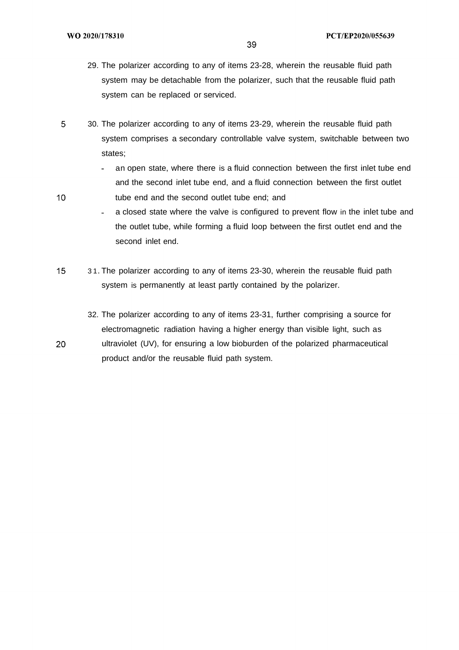$10<sup>°</sup>$ 

- 29. The polarizer according to any of items 23-28, wherein the reusable fluid path system may be detachable from the polarizer, such that the reusable fluid path system can be replaced or serviced.
- 5 30. The polarizer according to any of items 23-29, wherein the reusable fluid path system comprises a secondary controllable valve system, switchable between two states;
	- an open state, where there is a fluid connection between the first inlet tube end  $\mathbb{R}^{\mathbb{Z}^{\times}}$ and the second inlet tube end, and a fluid connection between the first outlet tube end and the second outlet tube end; and
	- a closed state where the valve is configured to prevent flow in the inlet tube and  $\overline{a}$ the outlet tube, while forming a fluid loop between the first outlet end and the second inlet end.
- $15<sup>1</sup>$ 3 1. The polarizer according to any of items 23-30, wherein the reusable fluid path system is permanently at least partly contained by the polarizer.
	- 32. The polarizer according to any of items 23-31, further comprising a source for electromagnetic radiation having a higher energy than visible light, such as ultraviolet (UV), for ensuring a low bioburden of the polarized pharmaceutical product and/or the reusable fluid path system.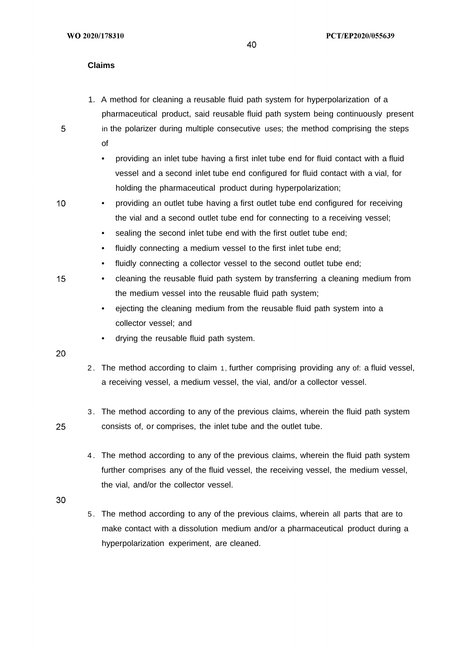### **Claims**

- 1. A method for cleaning a reusable fluid path system for hyperpolarization of a pharmaceutical product, said reusable fluid path system being continuously present
	- in the polarizer during multiple consecutive uses; the method comprising the steps of
		- providing an inlet tube having a first inlet tube end for fluid contact with a fluid vessel and a second inlet tube end configured for fluid contact with a vial, for holding the pharmaceutical product during hyperpolarization;
- $10<sup>°</sup>$ • providing an outlet tube having a first outlet tube end configured for receiving the vial and a second outlet tube end for connecting to a receiving vessel;
	- sealing the second inlet tube end with the first outlet tube end:
	- fluidly connecting a medium vessel to the first inlet tube end;
	- fluidly connecting a collector vessel to the second outlet tube end;
	- cleaning the reusable fluid path system by transferring a cleaning medium from the medium vessel into the reusable fluid path system;
		- ejecting the cleaning medium from the reusable fluid path system into a collector vessel; and
		- drying the reusable fluid path system.
- 20

25

15

- 2 . The method according to claim 1, further comprising providing any of: a fluid vessel, a receiving vessel, a medium vessel, the vial, and/or a collector vessel.
- 3 . The method according to any of the previous claims, wherein the fluid path system consists of, or comprises, the inlet tube and the outlet tube.
- 4 . The method according to any of the previous claims, wherein the fluid path system further comprises any of the fluid vessel, the receiving vessel, the medium vessel, the vial, and/or the collector vessel.
- 30
- 5 . The method according to any of the previous claims, wherein all parts that are to make contact with a dissolution medium and/or a pharmaceutical product during a hyperpolarization experiment, are cleaned.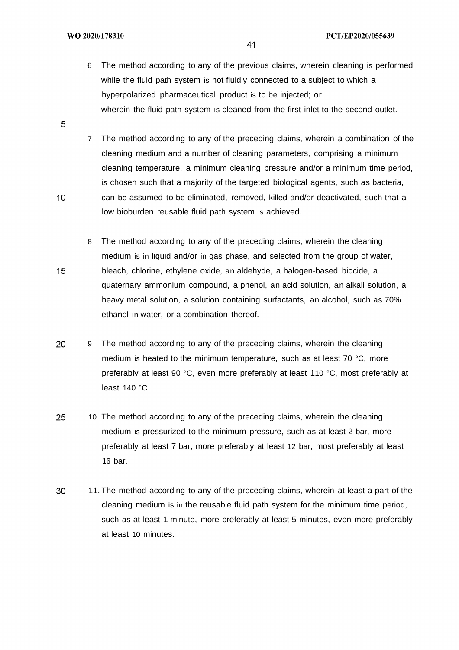6 . The method according to any of the previous claims, wherein cleaning is performed while the fluid path system is not fluidly connected to a subject to which a hyperpolarized pharmaceutical product is to be injected; or wherein the fluid path system is cleaned from the first inlet to the second outlet.

41

- 7 . The method according to any of the preceding claims, wherein a combination of the cleaning medium and a number of cleaning parameters, comprising a minimum cleaning temperature, a minimum cleaning pressure and/or a minimum time period, is chosen such that a majority of the targeted biological agents, such as bacteria, can be assumed to be eliminated, removed, killed and/or deactivated, such that a low bioburden reusable fluid path system is achieved.
- 8 . The method according to any of the preceding claims, wherein the cleaning medium is in liquid and/or in gas phase, and selected from the group of water, bleach, chlorine, ethylene oxide, an aldehyde, a halogen-based biocide, a quaternary ammonium compound, a phenol, an acid solution, an alkali solution, a heavy metal solution, a solution containing surfactants, an alcohol, such as 70% ethanol in water, or a combination thereof.
- 20 9 . The method according to any of the preceding claims, wherein the cleaning medium is heated to the minimum temperature, such as at least 70 °C, more preferably at least 90 °C, even more preferably at least 110 °C, most preferably at least 140 °C.
- 25 10. The method according to any of the preceding claims, wherein the cleaning medium is pressurized to the minimum pressure, such as at least 2 bar, more preferably at least 7 bar, more preferably at least 12 bar, most preferably at least 16 bar.
- 30 11. The method according to any of the preceding claims, wherein at least a part of the cleaning medium is in the reusable fluid path system for the minimum time period, such as at least 1 minute, more preferably at least 5 minutes, even more preferably at least 10 minutes.

5

 $10<sup>°</sup>$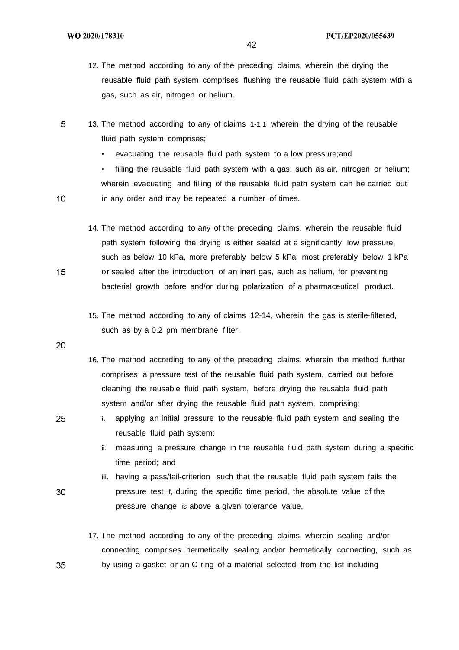- 12. The method according to any of the preceding claims, wherein the drying the reusable fluid path system comprises flushing the reusable fluid path system with a gas, such as air, nitrogen or helium.
- 5 13. The method according to any of claims 1-1 1, wherein the drying of the reusable fluid path system comprises;
	- evacuating the reusable fluid path system to a low pressure;and

• filling the reusable fluid path system with a gas, such as air, nitrogen or helium; wherein evacuating and filling of the reusable fluid path system can be carried out in any order and may be repeated a number of times.

- 14. The method according to any of the preceding claims, wherein the reusable fluid path system following the drying is either sealed at a significantly low pressure, such as below 10 kPa, more preferably below 5 kPa, most preferably below 1 kPa or sealed after the introduction of an inert gas, such as helium, for preventing bacterial growth before and/or during polarization of a pharmaceutical product.
- 15. The method according to any of claims 12-14, wherein the gas is sterile-filtered, such as by a 0.2 pm membrane filter.

20

 $10<sub>1</sub>$ 

15

- 16. The method according to any of the preceding claims, wherein the method further comprises a pressure test of the reusable fluid path system, carried out before cleaning the reusable fluid path system, before drying the reusable fluid path system and/or after drying the reusable fluid path system, comprising;
- 25

30

- i. applying an initial pressure to the reusable fluid path system and sealing the reusable fluid path system;
	- ii. measuring a pressure change in the reusable fluid path system during a specific time period; and
	- iii. having a pass/fail-criterion such that the reusable fluid path system fails the pressure test if, during the specific time period, the absolute value of the pressure change is above a given tolerance value.
- 17. The method according to any of the preceding claims, wherein sealing and/or connecting comprises hermetically sealing and/or hermetically connecting, such as by using a gasket or an O-ring of a material selected from the list including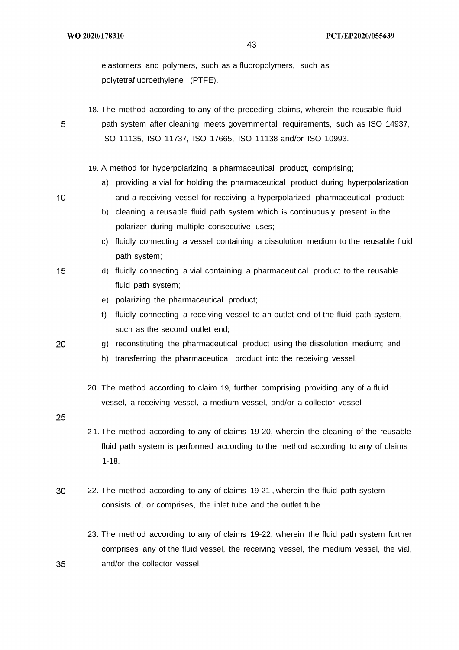elastomers and polymers, such as a fluoropolymers, such as polytetrafluoroethylene (PTFE).

18. The method according to any of the preceding claims, wherein the reusable fluid

5

path system after cleaning meets governmental requirements, such as ISO 14937, ISO 11135, ISO 11737, ISO 17665, ISO 11138 and/or ISO 10993.

19. A method for hyperpolarizing a pharmaceutical product, comprising;

- a) providing a vial for holding the pharmaceutical product during hyperpolarization and a receiving vessel for receiving a hyperpolarized pharmaceutical product;
- b) cleaning a reusable fluid path system which is continuously present in the polarizer during multiple consecutive uses;
- c) fluidly connecting a vessel containing a dissolution medium to the reusable fluid path system;
- $15$ d) fluidly connecting a vial containing a pharmaceutical product to the reusable fluid path system;
	- e) polarizing the pharmaceutical product;
	- f) fluidly connecting a receiving vessel to an outlet end of the fluid path system, such as the second outlet end;
- 20 g) reconstituting the pharmaceutical product using the dissolution medium; and
	- h) transferring the pharmaceutical product into the receiving vessel.
	- 20. The method according to claim 19, further comprising providing any of a fluid vessel, a receiving vessel, a medium vessel, and/or a collector vessel
- 25

35

- 2 1. The method according to any of claims 19-20, wherein the cleaning of the reusable fluid path system is performed according to the method according to any of claims 1-18.
- 30 22. The method according to any of claims 19-21 , wherein the fluid path system consists of, or comprises, the inlet tube and the outlet tube.
	- 23. The method according to any of claims 19-22, wherein the fluid path system further comprises any of the fluid vessel, the receiving vessel, the medium vessel, the vial, and/or the collector vessel.

 $10<sup>°</sup>$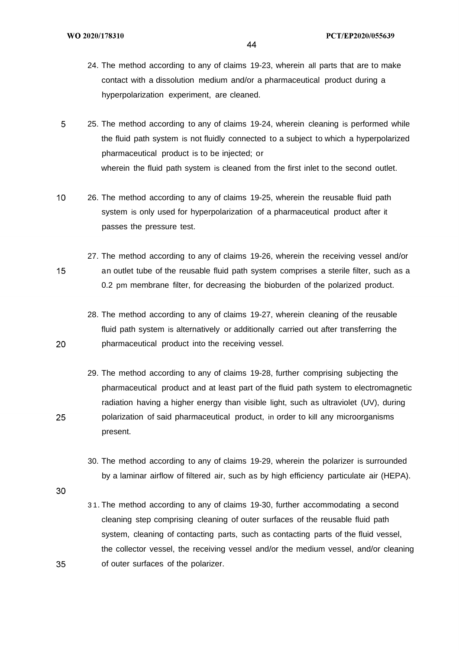- 24. The method according to any of claims 19-23, wherein all parts that are to make contact with a dissolution medium and/or a pharmaceutical product during a hyperpolarization experiment, are cleaned.
- 5 25. The method according to any of claims 19-24, wherein cleaning is performed while the fluid path system is not fluidly connected to a subject to which a hyperpolarized pharmaceutical product is to be injected; or wherein the fluid path system is cleaned from the first inlet to the second outlet.
- $10<sup>°</sup>$ 26. The method according to any of claims 19-25, wherein the reusable fluid path system is only used for hyperpolarization of a pharmaceutical product after it passes the pressure test.
	- 27. The method according to any of claims 19-26, wherein the receiving vessel and/or an outlet tube of the reusable fluid path system comprises a sterile filter, such as a 0.2 pm membrane filter, for decreasing the bioburden of the polarized product.
		- 28. The method according to any of claims 19-27, wherein cleaning of the reusable fluid path system is alternatively or additionally carried out after transferring the pharmaceutical product into the receiving vessel.
	- 29. The method according to any of claims 19-28, further comprising subjecting the pharmaceutical product and at least part of the fluid path system to electromagnetic radiation having a higher energy than visible light, such as ultraviolet (UV), during polarization of said pharmaceutical product, in order to kill any microorganisms present.
		- 30. The method according to any of claims 19-29, wherein the polarizer is surrounded by a laminar airflow of filtered air, such as by high efficiency particulate air (HEPA).
- 30

35

 $15<sub>1</sub>$ 

20

25

3 1. The method according to any of claims 19-30, further accommodating a second cleaning step comprising cleaning of outer surfaces of the reusable fluid path system, cleaning of contacting parts, such as contacting parts of the fluid vessel, the collector vessel, the receiving vessel and/or the medium vessel, and/or cleaning of outer surfaces of the polarizer.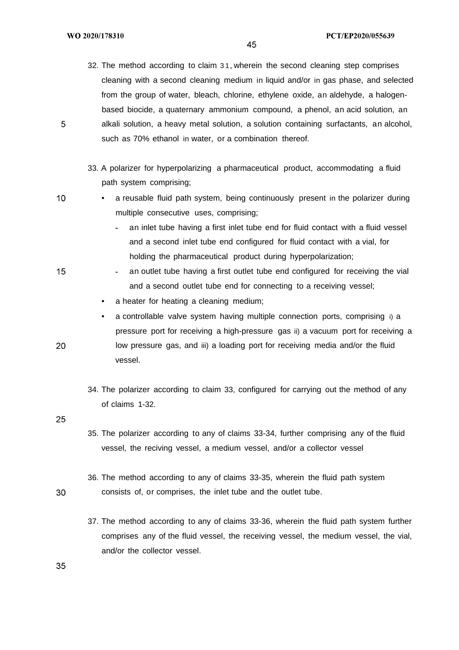WO 2020/178310

45

- 32. The method according to claim 3 1, wherein the second cleaning step comprises cleaning with a second cleaning medium in liquid and/or in gas phase, and selected from the group of water, bleach, chlorine, ethylene oxide, an aldehyde, a halogenbased biocide, a quaternary ammonium compound, a phenol, an acid solution, an alkali solution, a heavy metal solution, a solution containing surfactants, an alcohol, such as 70% ethanol in water, or a combination thereof.
- 33. A polarizer for hyperpolarizing a pharmaceutical product, accommodating a fluid path system comprising;
- a reusable fluid path system, being continuously present in the polarizer during multiple consecutive uses, comprising;
	- an inlet tube having a first inlet tube end for fluid contact with a fluid vessel and a second inlet tube end configured for fluid contact with a vial, for holding the pharmaceutical product during hyperpolarization;
	- an outlet tube having a first outlet tube end configured for receiving the vial and a second outlet tube end for connecting to a receiving vessel;
	- a heater for heating a cleaning medium:
	- a controllable valve system having multiple connection ports, comprising i) a pressure port for receiving a high-pressure gas ii) a vacuum port for receiving a low pressure gas, and iii) a loading port for receiving media and/or the fluid vessel.
	- 34. The polarizer according to claim 33, configured for carrying out the method of any of claims 1-32.

25

20

- 35. The polarizer according to any of claims 33-34, further comprising any of the fluid vessel, the reciving vessel, a medium vessel, and/or a collector vessel
- 36. The method according to any of claims 33-35, wherein the fluid path system consists of, or comprises, the inlet tube and the outlet tube.
	- 37. The method according to any of claims 33-36, wherein the fluid path system further comprises any of the fluid vessel, the receiving vessel, the medium vessel, the vial, and/or the collector vessel.

5

15

 $10<sub>1</sub>$ 

30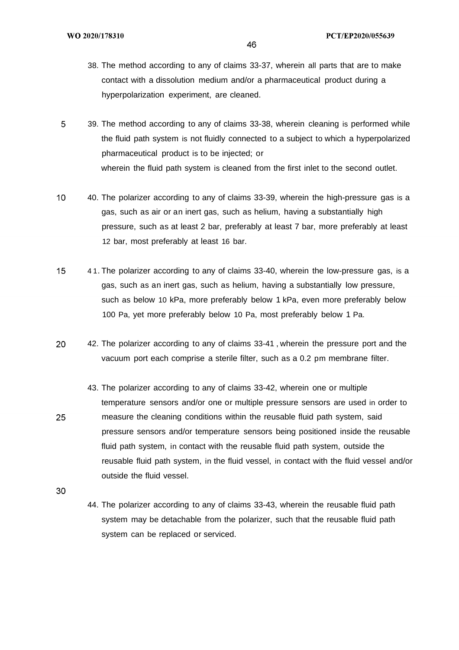- 38. The method according to any of claims 33-37, wherein all parts that are to make contact with a dissolution medium and/or a pharmaceutical product during a hyperpolarization experiment, are cleaned.
- 5 39. The method according to any of claims 33-38, wherein cleaning is performed while the fluid path system is not fluidly connected to a subject to which a hyperpolarized pharmaceutical product is to be injected; or wherein the fluid path system is cleaned from the first inlet to the second outlet.
- $10<sup>°</sup>$ 40. The polarizer according to any of claims 33-39, wherein the high-pressure gas is a gas, such as air or an inert gas, such as helium, having a substantially high pressure, such as at least 2 bar, preferably at least 7 bar, more preferably at least 12 bar, most preferably at least 16 bar.
- 4 1. The polarizer according to any of claims 33-40, wherein the low-pressure gas, is a  $15<sub>1</sub>$ gas, such as an inert gas, such as helium, having a substantially low pressure, such as below 10 kPa, more preferably below 1 kPa, even more preferably below 100 Pa, yet more preferably below 10 Pa, most preferably below 1 Pa.
- 20 42. The polarizer according to any of claims 33-41 , wherein the pressure port and the vacuum port each comprise a sterile filter, such as a 0.2 pm membrane filter.
	- 43. The polarizer according to any of claims 33-42, wherein one or multiple temperature sensors and/or one or multiple pressure sensors are used in order to measure the cleaning conditions within the reusable fluid path system, said pressure sensors and/or temperature sensors being positioned inside the reusable fluid path system, in contact with the reusable fluid path system, outside the reusable fluid path system, in the fluid vessel, in contact with the fluid vessel and/or

25

outside the fluid vessel.

44. The polarizer according to any of claims 33-43, wherein the reusable fluid path system may be detachable from the polarizer, such that the reusable fluid path system can be replaced or serviced.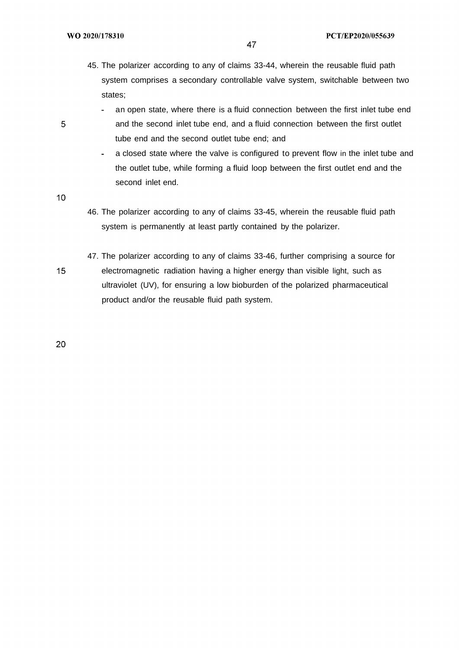- 47
- 45. The polarizer according to any of claims 33-44, wherein the reusable fluid path system comprises a secondary controllable valve system, switchable between two states;
	- an open state, where there is a fluid connection between the first inlet tube end a. and the second inlet tube end, and a fluid connection between the first outlet tube end and the second outlet tube end; and
	- a closed state where the valve is configured to prevent flow in the inlet tube and  $\sim$ the outlet tube, while forming a fluid loop between the first outlet end and the second inlet end.
- $10<sup>°</sup>$

- 46. The polarizer according to any of claims 33-45, wherein the reusable fluid path system is permanently at least partly contained by the polarizer.
- 47. The polarizer according to any of claims 33-46, further comprising a source for  $15<sub>1</sub>$ electromagnetic radiation having a higher energy than visible light, such as ultraviolet (UV), for ensuring a low bioburden of the polarized pharmaceutical product and/or the reusable fluid path system.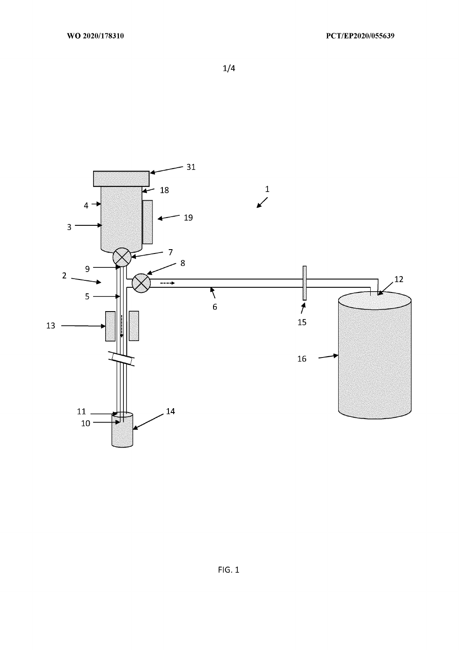$1/4$ 

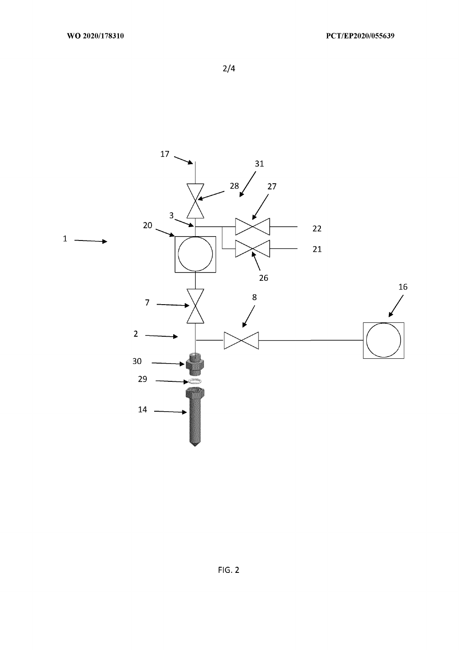$2/4$ 

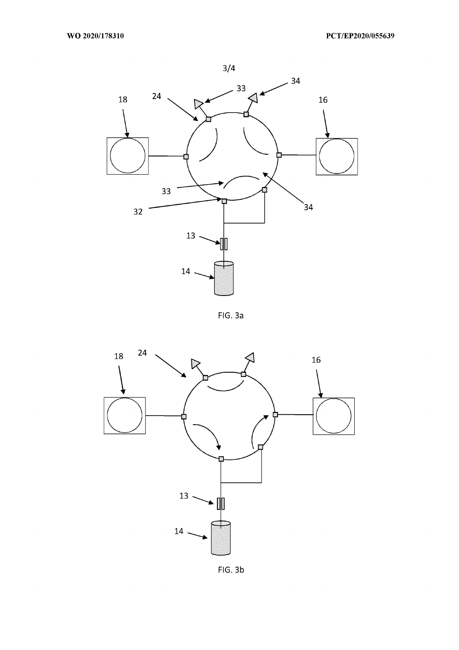

FIG. 3a



FIG. 3b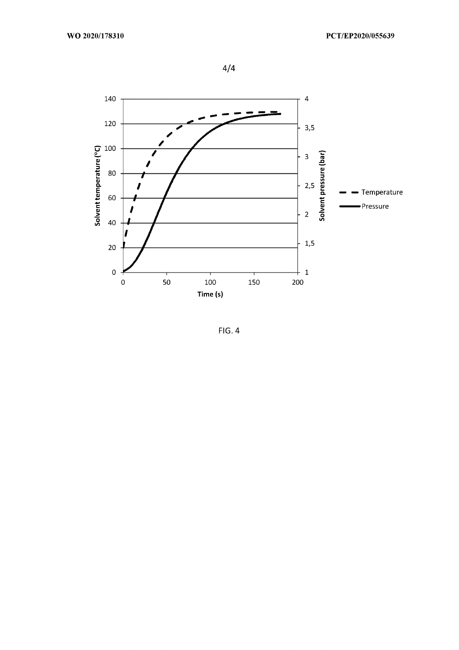$4/4$ 



 $FIG. 4$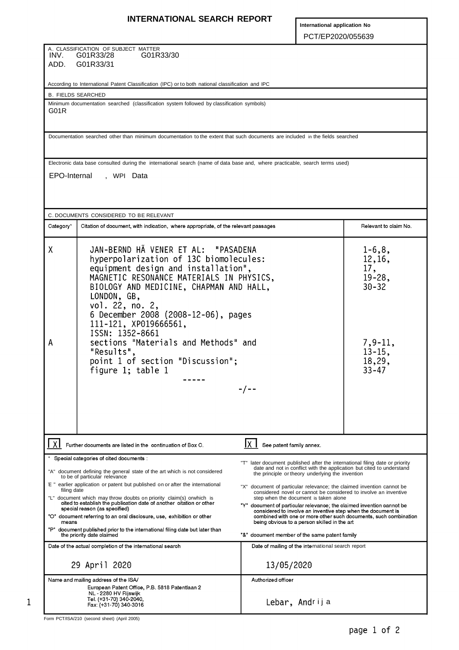# **INTERNATIONAL SEARCH REPORT**

**International application No** PCT/EP2020/055639

A. CLASSIFICATION OF SUBJECT MATTER INV. G01R33/28 G01R33/30 ADD. G01R33/31

According to International Patent Classification (IPC) or to both national classification and IPC

B. FIELDS SEARCHED

Minimum documentation searched (classification system followed by classification symbols) G01R

Documentation searched other than minimum documentation to the extent that such documents are included in the fields searched

Electronic data base consulted during the international search (name of data base and, where practicable, search terms used)

EPO-Internal , WPI Data

| C. DOCUMENTS CONSIDERED TO BE RELEVANT                                                                                                                                                                                                                             |                                                                                                                                                                                                                                               |                                                                                                                                                                                                                                                                                                                        |  |  |  |  |  |
|--------------------------------------------------------------------------------------------------------------------------------------------------------------------------------------------------------------------------------------------------------------------|-----------------------------------------------------------------------------------------------------------------------------------------------------------------------------------------------------------------------------------------------|------------------------------------------------------------------------------------------------------------------------------------------------------------------------------------------------------------------------------------------------------------------------------------------------------------------------|--|--|--|--|--|
| Category*                                                                                                                                                                                                                                                          | Citation of document, with indication, where appropriate, of the relevant passages                                                                                                                                                            | Relevant to claim No.                                                                                                                                                                                                                                                                                                  |  |  |  |  |  |
| χ                                                                                                                                                                                                                                                                  | JAN-BERND HÃ VENER ET AL: "PASADENA<br>hyperpolarization of 13C biomolecules:<br>equipment design and installation",<br>MAGNETIC RESONANCE MATERIALS IN PHYSICS,<br>BIOLOGY AND MEDICINE, CHAPMAN AND HALL,<br>LONDON, GB,<br>vol. 22, no. 2, | $1-6, 8,$<br>12,16,<br>17,<br>$19 - 28$ ,<br>$30 - 32$                                                                                                                                                                                                                                                                 |  |  |  |  |  |
| А                                                                                                                                                                                                                                                                  | 6 December 2008 (2008-12-06), pages<br>111-121, XP019666561,<br>ISSN: 1352-8661<br>sections "Materials and Methods" and<br>"Results",<br>point 1 of section "Discussion";<br>figure $1$ ; table $1$                                           | $7,9-11,$<br>$13 - 15$ ,<br>18,29,<br>$33 - 47$                                                                                                                                                                                                                                                                        |  |  |  |  |  |
|                                                                                                                                                                                                                                                                    | Further documents are listed in the continuation of Box C.                                                                                                                                                                                    | Ix I<br>See patent family annex.                                                                                                                                                                                                                                                                                       |  |  |  |  |  |
|                                                                                                                                                                                                                                                                    | Special categories of cited documents :                                                                                                                                                                                                       |                                                                                                                                                                                                                                                                                                                        |  |  |  |  |  |
| "A" document defining the general state of the art which is not considered<br>to be of particular relevance                                                                                                                                                        |                                                                                                                                                                                                                                               | "T" later document published after the international filing date or priority<br>date and not in conflict with the application but cited to understand<br>the principle or theory underlying the invention                                                                                                              |  |  |  |  |  |
|                                                                                                                                                                                                                                                                    | E " earlier application or patent but published on or after the international                                                                                                                                                                 | "X" document of particular relevance; the claimed invention cannot be                                                                                                                                                                                                                                                  |  |  |  |  |  |
| filing date<br>"L" document which may throw doubts on priority claim(s) orwhich is cited to establish the publication date of another citation or other<br>special reason (as specified)<br>"O" document referring to an oral disclosure, use, exhibition or other |                                                                                                                                                                                                                                               | considered novel or cannot be considered to involve an inventive<br>step when the document is taken alone<br>"Y" document of particular relevance; the claimed invention cannot be<br>considered to involve an inventive step when the document is<br>combined with one or more other such documents, such combination |  |  |  |  |  |
| means<br>"P" document published prior to the international filing date but later than<br>the priority date claimed                                                                                                                                                 |                                                                                                                                                                                                                                               | being obvious to a person skilled in the art<br>"&" document member of the same patent family                                                                                                                                                                                                                          |  |  |  |  |  |
| Date of the actual completion of the international search                                                                                                                                                                                                          |                                                                                                                                                                                                                                               | Date of mailing of the international search report                                                                                                                                                                                                                                                                     |  |  |  |  |  |
|                                                                                                                                                                                                                                                                    | 29 April 2020                                                                                                                                                                                                                                 | 13/05/2020                                                                                                                                                                                                                                                                                                             |  |  |  |  |  |
| Name and mailing address of the ISA/<br>European Patent Office, P.B. 5818 Patentlaan 2<br>NL - 2280 HV Rijswijk<br>Tel. (+31-70) 340-2040<br>Fax: (+31-70) 340-3016                                                                                                |                                                                                                                                                                                                                                               | Authorized officer<br>Lebar, Andrija                                                                                                                                                                                                                                                                                   |  |  |  |  |  |

Form PCT/ISA/210 (second sheet) (April 2005)

 $\mathbf{1}$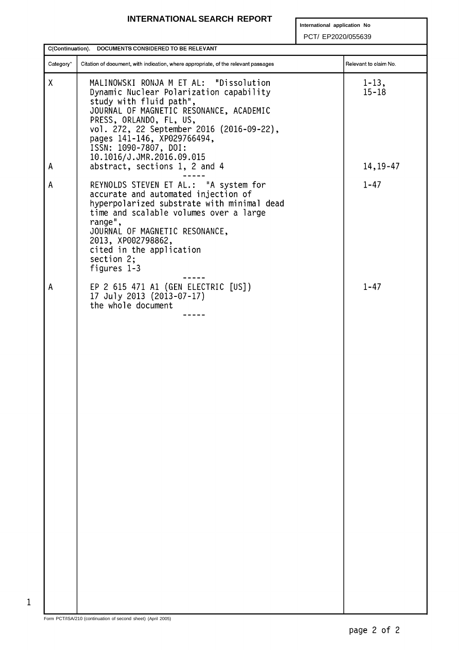# **INTERNATIONAL SEARCH REPORT**

**International application No**

PCT/ EP2020/055639

| C(Continuation). DOCUMENTS CONSIDERED TO BE RELEVANT |                                                                                                                                                                                                                                                                                                                      |                         |  |  |  |  |  |  |
|------------------------------------------------------|----------------------------------------------------------------------------------------------------------------------------------------------------------------------------------------------------------------------------------------------------------------------------------------------------------------------|-------------------------|--|--|--|--|--|--|
| Category*                                            | Citation of document, with indication, where appropriate, of the relevant passages                                                                                                                                                                                                                                   | Relevant to claim No.   |  |  |  |  |  |  |
| X                                                    | MALINOWSKI RONJA M ET AL: "Dissolution<br>Dynamic Nuclear Polarization capability<br>study with fluid path",<br>JOURNAL OF MAGNETIC RESONANCE, ACADEMIC<br>PRESS, ORLANDO, FL, US,<br>vol. 272, 22 September 2016 (2016-09-22),<br>pages 141-146, XP029766494,<br>ISSN: 1090-7807, DOI:<br>10.1016/J.JMR.2016.09.015 | $1 - 13$ ,<br>$15 - 18$ |  |  |  |  |  |  |
| Α                                                    | abstract, sections 1, 2 and 4                                                                                                                                                                                                                                                                                        | $14, 19 - 47$           |  |  |  |  |  |  |
| Α                                                    | REYNOLDS STEVEN ET AL.: "A system for<br>accurate and automated injection of<br>hyperpolarized substrate with minimal dead<br>time and scalable volumes over a large<br>range",<br>JOURNAL OF MAGNETIC RESONANCE,<br>2013, XP002798862,<br>cited in the application<br>section $2$ ;<br>figures 1-3                  | $1 - 47$                |  |  |  |  |  |  |
| Α                                                    | EP 2 615 471 A1 (GEN ELECTRIC [US])<br>17 July 2013 (2013-07-17)<br>the whole document                                                                                                                                                                                                                               | $1 - 47$                |  |  |  |  |  |  |